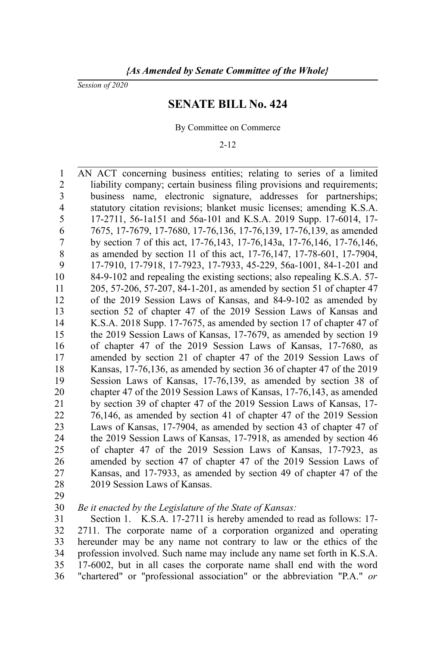*Session of 2020*

## **SENATE BILL No. 424**

By Committee on Commerce

2-12

AN ACT concerning business entities; relating to series of a limited liability company; certain business filing provisions and requirements; business name, electronic signature, addresses for partnerships; statutory citation revisions; blanket music licenses; amending K.S.A. 17-2711, 56-1a151 and 56a-101 and K.S.A. 2019 Supp. 17-6014, 17- 7675, 17-7679, 17-7680, 17-76,136, 17-76,139, 17-76,139, as amended by section 7 of this act, 17-76,143, 17-76,143a, 17-76,146, 17-76,146, as amended by section 11 of this act, 17-76,147, 17-78-601, 17-7904, 17-7910, 17-7918, 17-7923, 17-7933, 45-229, 56a-1001, 84-1-201 and 84-9-102 and repealing the existing sections; also repealing K.S.A. 57- 205, 57-206, 57-207, 84-1-201, as amended by section 51 of chapter 47 of the 2019 Session Laws of Kansas, and 84-9-102 as amended by section 52 of chapter 47 of the 2019 Session Laws of Kansas and K.S.A. 2018 Supp. 17-7675, as amended by section 17 of chapter 47 of the 2019 Session Laws of Kansas, 17-7679, as amended by section 19 of chapter 47 of the 2019 Session Laws of Kansas, 17-7680, as amended by section 21 of chapter 47 of the 2019 Session Laws of Kansas, 17-76,136, as amended by section 36 of chapter 47 of the 2019 Session Laws of Kansas, 17-76,139, as amended by section 38 of chapter 47 of the 2019 Session Laws of Kansas, 17-76,143, as amended by section 39 of chapter 47 of the 2019 Session Laws of Kansas, 17- 76,146, as amended by section 41 of chapter 47 of the 2019 Session Laws of Kansas, 17-7904, as amended by section 43 of chapter 47 of the 2019 Session Laws of Kansas, 17-7918, as amended by section 46 of chapter 47 of the 2019 Session Laws of Kansas, 17-7923, as amended by section 47 of chapter 47 of the 2019 Session Laws of Kansas, and 17-7933, as amended by section 49 of chapter 47 of the 2019 Session Laws of Kansas. 1 2 3 4 5 6 7 8 9 10 11 12 13 14 15 16 17 18 19 20 21 22 23  $24$ 25 26 27 28

29

*Be it enacted by the Legislature of the State of Kansas:* 30

Section 1. K.S.A. 17-2711 is hereby amended to read as follows: 17- 2711. The corporate name of a corporation organized and operating hereunder may be any name not contrary to law or the ethics of the profession involved. Such name may include any name set forth in K.S.A. 17-6002, but in all cases the corporate name shall end with the word "chartered" or "professional association" or the abbreviation "P.A." *or* 31 32 33 34 35 36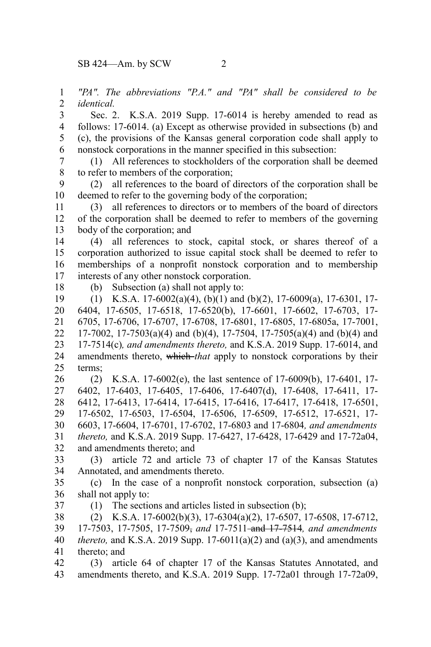*"PA". The abbreviations "P.A." and "PA" shall be considered to be identical.* 1 2

Sec. 2. K.S.A. 2019 Supp. 17-6014 is hereby amended to read as follows: 17-6014. (a) Except as otherwise provided in subsections (b) and (c), the provisions of the Kansas general corporation code shall apply to nonstock corporations in the manner specified in this subsection: 3 4 5 6

(1) All references to stockholders of the corporation shall be deemed to refer to members of the corporation; 7 8

(2) all references to the board of directors of the corporation shall be deemed to refer to the governing body of the corporation; 9 10

(3) all references to directors or to members of the board of directors of the corporation shall be deemed to refer to members of the governing body of the corporation; and 11 12 13

(4) all references to stock, capital stock, or shares thereof of a corporation authorized to issue capital stock shall be deemed to refer to memberships of a nonprofit nonstock corporation and to membership interests of any other nonstock corporation. 14 15 16 17

18

(b) Subsection (a) shall not apply to:

(1) K.S.A. 17-6002(a)(4), (b)(1) and (b)(2), 17-6009(a), 17-6301, 17- 6404, 17-6505, 17-6518, 17-6520(b), 17-6601, 17-6602, 17-6703, 17- 6705, 17-6706, 17-6707, 17-6708, 17-6801, 17-6805, 17-6805a, 17-7001, 17-7002, 17-7503(a)(4) and (b)(4), 17-7504, 17-7505(a)(4) and (b)(4) and 17-7514(c)*, and amendments thereto,* and K.S.A. 2019 Supp. 17-6014, and amendments thereto, which *that* apply to nonstock corporations by their terms; 19 20 21 22 23 24 25

(2) K.S.A. 17-6002(e), the last sentence of 17-6009(b), 17-6401, 17- 6402, 17-6403, 17-6405, 17-6406, 17-6407(d), 17-6408, 17-6411, 17- 6412, 17-6413, 17-6414, 17-6415, 17-6416, 17-6417, 17-6418, 17-6501, 17-6502, 17-6503, 17-6504, 17-6506, 17-6509, 17-6512, 17-6521, 17- 6603, 17-6604, 17-6701, 17-6702, 17-6803 and 17-6804*, and amendments thereto,* and K.S.A. 2019 Supp. 17-6427, 17-6428, 17-6429 and 17-72a04, and amendments thereto; and 26 27 28 29 30 31 32

(3) article 72 and article 73 of chapter 17 of the Kansas Statutes Annotated, and amendments thereto. 33 34

(c) In the case of a nonprofit nonstock corporation, subsection (a) shall not apply to: 35 36

37

(1) The sections and articles listed in subsection (b);

(2) K.S.A. 17-6002(b)(3), 17-6304(a)(2), 17-6507, 17-6508, 17-6712, 17-7503, 17-7505, 17-7509, *and* 17-7511 and 17-7514*, and amendments thereto,* and K.S.A. 2019 Supp.  $17-6011(a)(2)$  and  $(a)(3)$ , and amendments thereto; and 38 39 40 41

(3) article 64 of chapter 17 of the Kansas Statutes Annotated, and amendments thereto, and K.S.A. 2019 Supp. 17-72a01 through 17-72a09, 42 43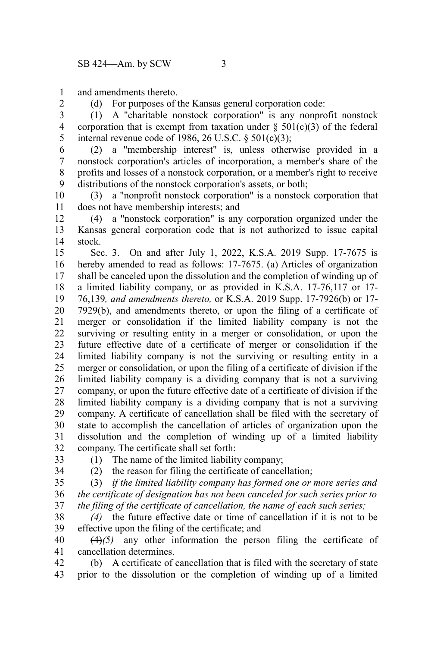and amendments thereto. 1

2

(d) For purposes of the Kansas general corporation code:

(1) A "charitable nonstock corporation" is any nonprofit nonstock corporation that is exempt from taxation under  $\S$  501(c)(3) of the federal internal revenue code of 1986, 26 U.S.C.  $\S$  501(c)(3); 3 4 5

(2) a "membership interest" is, unless otherwise provided in a nonstock corporation's articles of incorporation, a member's share of the profits and losses of a nonstock corporation, or a member's right to receive distributions of the nonstock corporation's assets, or both; 6 7 8 9

(3) a "nonprofit nonstock corporation" is a nonstock corporation that does not have membership interests; and 10 11

(4) a "nonstock corporation" is any corporation organized under the Kansas general corporation code that is not authorized to issue capital stock. 12 13 14

Sec. 3. On and after July 1, 2022, K.S.A. 2019 Supp. 17-7675 is hereby amended to read as follows: 17-7675. (a) Articles of organization shall be canceled upon the dissolution and the completion of winding up of a limited liability company, or as provided in K.S.A. 17-76,117 or 17- 76,139*, and amendments thereto,* or K.S.A. 2019 Supp. 17-7926(b) or 17- 7929(b), and amendments thereto, or upon the filing of a certificate of merger or consolidation if the limited liability company is not the surviving or resulting entity in a merger or consolidation, or upon the future effective date of a certificate of merger or consolidation if the limited liability company is not the surviving or resulting entity in a merger or consolidation, or upon the filing of a certificate of division if the limited liability company is a dividing company that is not a surviving company, or upon the future effective date of a certificate of division if the limited liability company is a dividing company that is not a surviving company. A certificate of cancellation shall be filed with the secretary of state to accomplish the cancellation of articles of organization upon the dissolution and the completion of winding up of a limited liability company. The certificate shall set forth: 15 16 17 18 19 20 21 22 23 24 25 26 27 28 29 30 31 32

33 34 (1) The name of the limited liability company;

(2) the reason for filing the certificate of cancellation;

(3) *if the limited liability company has formed one or more series and the certificate of designation has not been canceled for such series prior to the filing of the certificate of cancellation, the name of each such series;* 35 36 37

*(4)* the future effective date or time of cancellation if it is not to be effective upon the filing of the certificate; and 38 39

(4)*(5)* any other information the person filing the certificate of cancellation determines. 40 41

(b) A certificate of cancellation that is filed with the secretary of state prior to the dissolution or the completion of winding up of a limited 42 43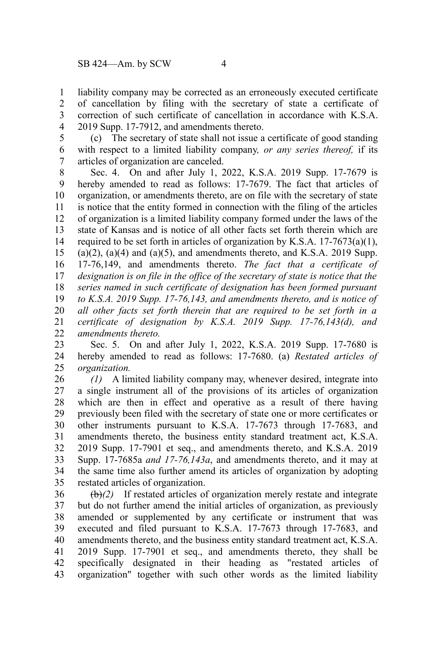liability company may be corrected as an erroneously executed certificate of cancellation by filing with the secretary of state a certificate of correction of such certificate of cancellation in accordance with K.S.A. 2019 Supp. 17-7912, and amendments thereto. 1 2 3 4

5

(c) The secretary of state shall not issue a certificate of good standing with respect to a limited liability company*, or any series thereof,* if its articles of organization are canceled. 6 7

Sec. 4. On and after July 1, 2022, K.S.A. 2019 Supp. 17-7679 is hereby amended to read as follows: 17-7679. The fact that articles of organization, or amendments thereto, are on file with the secretary of state is notice that the entity formed in connection with the filing of the articles of organization is a limited liability company formed under the laws of the state of Kansas and is notice of all other facts set forth therein which are required to be set forth in articles of organization by K.S.A.  $17-7673(a)(1)$ ,  $(a)(2)$ ,  $(a)(4)$  and  $(a)(5)$ , and amendments thereto, and K.S.A. 2019 Supp. 17-76,149, and amendments thereto. *The fact that a certificate of designation is on file in the office of the secretary of state is notice that the series named in such certificate of designation has been formed pursuant to K.S.A. 2019 Supp. 17-76,143, and amendments thereto, and is notice of all other facts set forth therein that are required to be set forth in a certificate of designation by K.S.A. 2019 Supp. 17-76,143(d), and amendments thereto.* 8 9 10 11 12 13 14 15 16 17 18 19 20 21 22

Sec. 5. On and after July 1, 2022, K.S.A. 2019 Supp. 17-7680 is hereby amended to read as follows: 17-7680. (a) *Restated articles of organization.* 23 24 25

*(1)* A limited liability company may, whenever desired, integrate into a single instrument all of the provisions of its articles of organization which are then in effect and operative as a result of there having previously been filed with the secretary of state one or more certificates or other instruments pursuant to K.S.A. 17-7673 through 17-7683, and amendments thereto, the business entity standard treatment act, K.S.A. 2019 Supp. 17-7901 et seq., and amendments thereto, and K.S.A. 2019 Supp. 17-7685a *and 17-76,143a*, and amendments thereto, and it may at the same time also further amend its articles of organization by adopting restated articles of organization. 26 27 28 29 30 31 32 33 34 35

(b)*(2)* If restated articles of organization merely restate and integrate but do not further amend the initial articles of organization, as previously amended or supplemented by any certificate or instrument that was executed and filed pursuant to K.S.A. 17-7673 through 17-7683, and amendments thereto, and the business entity standard treatment act, K.S.A. 2019 Supp. 17-7901 et seq., and amendments thereto, they shall be specifically designated in their heading as "restated articles of organization" together with such other words as the limited liability 36 37 38 39 40 41 42 43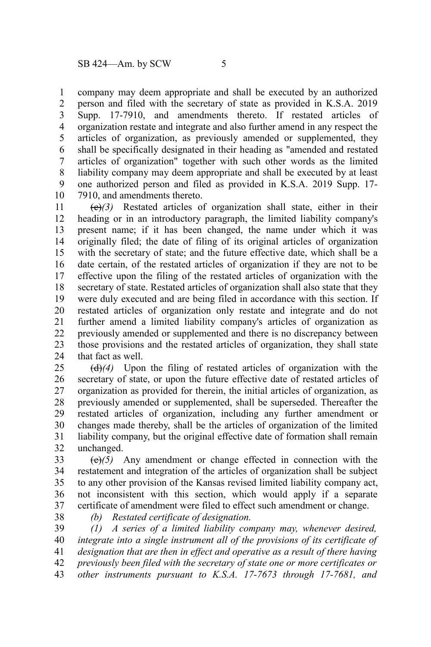company may deem appropriate and shall be executed by an authorized person and filed with the secretary of state as provided in K.S.A. 2019 Supp. 17-7910, and amendments thereto. If restated articles of organization restate and integrate and also further amend in any respect the articles of organization, as previously amended or supplemented, they shall be specifically designated in their heading as "amended and restated articles of organization" together with such other words as the limited liability company may deem appropriate and shall be executed by at least one authorized person and filed as provided in K.S.A. 2019 Supp. 17- 7910, and amendments thereto. 1 2 3 4 5 6 7 8 9 10

(c)*(3)* Restated articles of organization shall state, either in their heading or in an introductory paragraph, the limited liability company's present name; if it has been changed, the name under which it was originally filed; the date of filing of its original articles of organization with the secretary of state; and the future effective date, which shall be a date certain, of the restated articles of organization if they are not to be effective upon the filing of the restated articles of organization with the secretary of state. Restated articles of organization shall also state that they were duly executed and are being filed in accordance with this section. If restated articles of organization only restate and integrate and do not further amend a limited liability company's articles of organization as previously amended or supplemented and there is no discrepancy between those provisions and the restated articles of organization, they shall state that fact as well. 11 12 13 14 15 16 17 18 19 20 21 22 23 24

(d)*(4)* Upon the filing of restated articles of organization with the secretary of state, or upon the future effective date of restated articles of organization as provided for therein, the initial articles of organization, as previously amended or supplemented, shall be superseded. Thereafter the restated articles of organization, including any further amendment or changes made thereby, shall be the articles of organization of the limited liability company, but the original effective date of formation shall remain unchanged. 25 26 27 28 29 30 31 32

(e)*(5)* Any amendment or change effected in connection with the restatement and integration of the articles of organization shall be subject to any other provision of the Kansas revised limited liability company act, not inconsistent with this section, which would apply if a separate certificate of amendment were filed to effect such amendment or change. 33 34 35 36 37

38

*(b) Restated certificate of designation.*

*(1) A series of a limited liability company may, whenever desired, integrate into a single instrument all of the provisions of its certificate of designation that are then in effect and operative as a result of there having previously been filed with the secretary of state one or more certificates or other instruments pursuant to K.S.A. 17-7673 through 17-7681, and* 39 40 41 42 43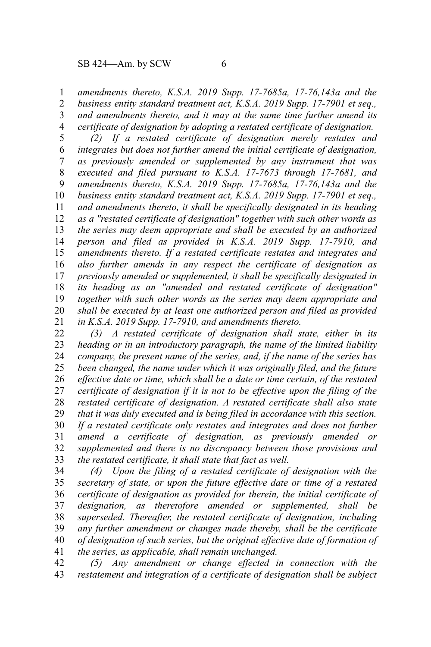*amendments thereto, K.S.A. 2019 Supp. 17-7685a, 17-76,143a and the business entity standard treatment act, K.S.A. 2019 Supp. 17-7901 et seq., and amendments thereto, and it may at the same time further amend its certificate of designation by adopting a restated certificate of designation.* 1 2 3 4

*(2) If a restated certificate of designation merely restates and integrates but does not further amend the initial certificate of designation, as previously amended or supplemented by any instrument that was executed and filed pursuant to K.S.A. 17-7673 through 17-7681, and amendments thereto, K.S.A. 2019 Supp. 17-7685a, 17-76,143a and the business entity standard treatment act, K.S.A. 2019 Supp. 17-7901 et seq., and amendments thereto, it shall be specifically designated in its heading as a "restated certificate of designation" together with such other words as the series may deem appropriate and shall be executed by an authorized person and filed as provided in K.S.A. 2019 Supp. 17-7910, and amendments thereto. If a restated certificate restates and integrates and also further amends in any respect the certificate of designation as previously amended or supplemented, it shall be specifically designated in its heading as an "amended and restated certificate of designation" together with such other words as the series may deem appropriate and shall be executed by at least one authorized person and filed as provided in K.S.A. 2019 Supp. 17-7910, and amendments thereto.* 5 6 7 8 9 10 11 12 13 14 15 16 17 18 19 20 21

*(3) A restated certificate of designation shall state, either in its heading or in an introductory paragraph, the name of the limited liability company, the present name of the series, and, if the name of the series has been changed, the name under which it was originally filed, and the future effective date or time, which shall be a date or time certain, of the restated certificate of designation if it is not to be effective upon the filing of the restated certificate of designation. A restated certificate shall also state that it was duly executed and is being filed in accordance with this section. If a restated certificate only restates and integrates and does not further amend a certificate of designation, as previously amended or supplemented and there is no discrepancy between those provisions and the restated certificate, it shall state that fact as well.* 22 23 24 25 26 27 28 29 30 31 32 33

*(4) Upon the filing of a restated certificate of designation with the secretary of state, or upon the future effective date or time of a restated certificate of designation as provided for therein, the initial certificate of designation, as theretofore amended or supplemented, shall be superseded. Thereafter, the restated certificate of designation, including any further amendment or changes made thereby, shall be the certificate of designation of such series, but the original effective date of formation of the series, as applicable, shall remain unchanged.* 34 35 36 37 38 39 40 41

*(5) Any amendment or change effected in connection with the restatement and integration of a certificate of designation shall be subject* 42 43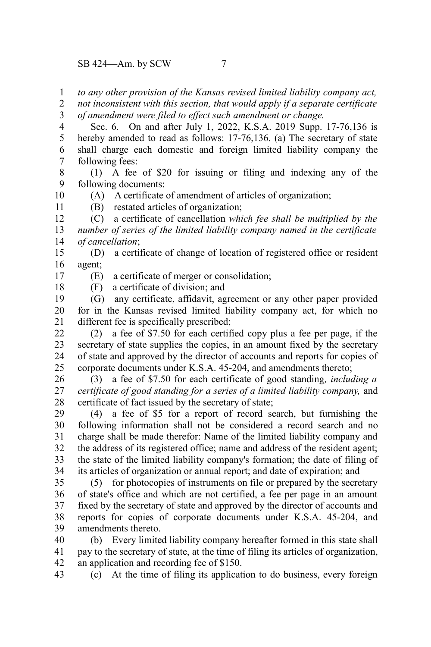*to any other provision of the Kansas revised limited liability company act,* 1

*not inconsistent with this section, that would apply if a separate certificate of amendment were filed to effect such amendment or change.* 2 3

Sec. 6. On and after July 1, 2022, K.S.A. 2019 Supp. 17-76,136 is hereby amended to read as follows: 17-76,136. (a) The secretary of state shall charge each domestic and foreign limited liability company the following fees: 4 5 6 7

(1) A fee of \$20 for issuing or filing and indexing any of the following documents: 8 9

(A) A certificate of amendment of articles of organization;

(B) restated articles of organization;

(C) a certificate of cancellation *which fee shall be multiplied by the number of series of the limited liability company named in the certificate of cancellation*; 12 13 14

(D) a certificate of change of location of registered office or resident agent; 15 16

17 18

10 11

> (E) a certificate of merger or consolidation; (F) a certificate of division; and

(G) any certificate, affidavit, agreement or any other paper provided for in the Kansas revised limited liability company act, for which no different fee is specifically prescribed; 19 20 21

(2) a fee of \$7.50 for each certified copy plus a fee per page, if the secretary of state supplies the copies, in an amount fixed by the secretary of state and approved by the director of accounts and reports for copies of corporate documents under K.S.A. 45-204, and amendments thereto; 22 23 24 25

(3) a fee of \$7.50 for each certificate of good standing*, including a certificate of good standing for a series of a limited liability company,* and certificate of fact issued by the secretary of state; 26 27 28

(4) a fee of \$5 for a report of record search, but furnishing the following information shall not be considered a record search and no charge shall be made therefor: Name of the limited liability company and the address of its registered office; name and address of the resident agent; the state of the limited liability company's formation; the date of filing of its articles of organization or annual report; and date of expiration; and 29 30 31 32 33 34

(5) for photocopies of instruments on file or prepared by the secretary of state's office and which are not certified, a fee per page in an amount fixed by the secretary of state and approved by the director of accounts and reports for copies of corporate documents under K.S.A. 45-204, and amendments thereto. 35 36 37 38 39

(b) Every limited liability company hereafter formed in this state shall pay to the secretary of state, at the time of filing its articles of organization, an application and recording fee of \$150. 40 41 42

(c) At the time of filing its application to do business, every foreign 43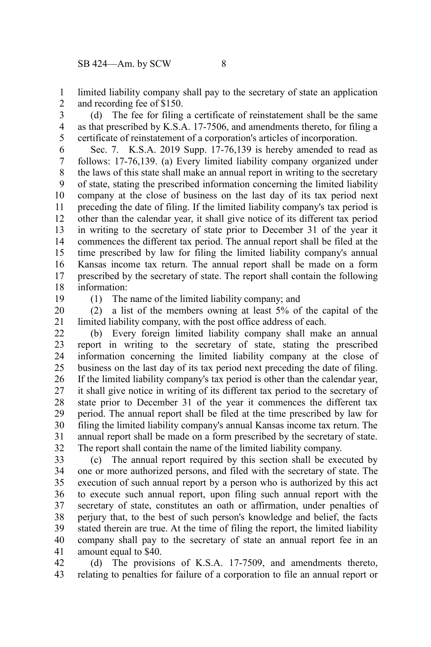limited liability company shall pay to the secretary of state an application and recording fee of \$150. 1 2

(d) The fee for filing a certificate of reinstatement shall be the same as that prescribed by K.S.A. 17-7506, and amendments thereto, for filing a certificate of reinstatement of a corporation's articles of incorporation. 3 4 5

Sec. 7. K.S.A. 2019 Supp. 17-76,139 is hereby amended to read as follows: 17-76,139. (a) Every limited liability company organized under the laws of this state shall make an annual report in writing to the secretary of state, stating the prescribed information concerning the limited liability company at the close of business on the last day of its tax period next preceding the date of filing. If the limited liability company's tax period is other than the calendar year, it shall give notice of its different tax period in writing to the secretary of state prior to December 31 of the year it commences the different tax period. The annual report shall be filed at the time prescribed by law for filing the limited liability company's annual Kansas income tax return. The annual report shall be made on a form prescribed by the secretary of state. The report shall contain the following information: 6 7 8 9 10 11 12 13 14 15 16 17 18

19

(1) The name of the limited liability company; and

(2) a list of the members owning at least 5% of the capital of the limited liability company, with the post office address of each. 20 21

(b) Every foreign limited liability company shall make an annual report in writing to the secretary of state, stating the prescribed information concerning the limited liability company at the close of business on the last day of its tax period next preceding the date of filing. If the limited liability company's tax period is other than the calendar year, it shall give notice in writing of its different tax period to the secretary of state prior to December 31 of the year it commences the different tax period. The annual report shall be filed at the time prescribed by law for filing the limited liability company's annual Kansas income tax return. The annual report shall be made on a form prescribed by the secretary of state. The report shall contain the name of the limited liability company. 22 23 24 25 26 27 28 29 30 31 32

(c) The annual report required by this section shall be executed by one or more authorized persons, and filed with the secretary of state. The execution of such annual report by a person who is authorized by this act to execute such annual report, upon filing such annual report with the secretary of state, constitutes an oath or affirmation, under penalties of perjury that, to the best of such person's knowledge and belief, the facts stated therein are true. At the time of filing the report, the limited liability company shall pay to the secretary of state an annual report fee in an amount equal to \$40. 33 34 35 36 37 38 39 40 41

(d) The provisions of K.S.A. 17-7509, and amendments thereto, relating to penalties for failure of a corporation to file an annual report or 42 43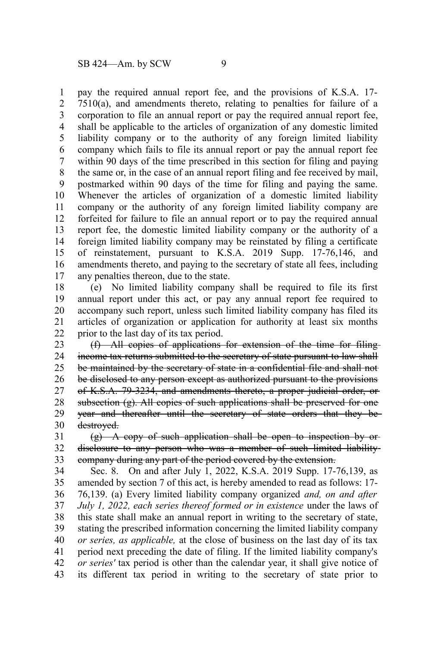pay the required annual report fee, and the provisions of K.S.A. 17- 7510(a), and amendments thereto, relating to penalties for failure of a corporation to file an annual report or pay the required annual report fee, shall be applicable to the articles of organization of any domestic limited liability company or to the authority of any foreign limited liability company which fails to file its annual report or pay the annual report fee within 90 days of the time prescribed in this section for filing and paying the same or, in the case of an annual report filing and fee received by mail, postmarked within 90 days of the time for filing and paying the same. Whenever the articles of organization of a domestic limited liability company or the authority of any foreign limited liability company are forfeited for failure to file an annual report or to pay the required annual report fee, the domestic limited liability company or the authority of a foreign limited liability company may be reinstated by filing a certificate of reinstatement, pursuant to K.S.A. 2019 Supp. 17-76,146, and amendments thereto, and paying to the secretary of state all fees, including any penalties thereon, due to the state. 1 2 3 4 5 6 7 8 9 10 11 12 13 14 15 16 17

(e) No limited liability company shall be required to file its first annual report under this act, or pay any annual report fee required to accompany such report, unless such limited liability company has filed its articles of organization or application for authority at least six months prior to the last day of its tax period. 18 19 20 21 22

(f) All copies of applications for extension of the time for filing income tax returns submitted to the secretary of state pursuant to law shall be maintained by the secretary of state in a confidential file and shall not be disclosed to any person except as authorized pursuant to the provisions of K.S.A. 79-3234, and amendments thereto, a proper judicial order, or subsection (g). All copies of such applications shall be preserved for one year and thereafter until the secretary of state orders that they be destroyed. 23 24 25 26 27 28 29 30

(g) A copy of such application shall be open to inspection by or disclosure to any person who was a member of such limited liabilitycompany during any part of the period covered by the extension. 31 32 33

Sec. 8. On and after July 1, 2022, K.S.A. 2019 Supp. 17-76,139, as amended by section 7 of this act, is hereby amended to read as follows: 17- 76,139. (a) Every limited liability company organized *and, on and after July 1, 2022, each series thereof formed or in existence* under the laws of this state shall make an annual report in writing to the secretary of state, stating the prescribed information concerning the limited liability company *or series, as applicable,* at the close of business on the last day of its tax period next preceding the date of filing. If the limited liability company's *or series'* tax period is other than the calendar year, it shall give notice of its different tax period in writing to the secretary of state prior to 34 35 36 37 38 39 40 41 42 43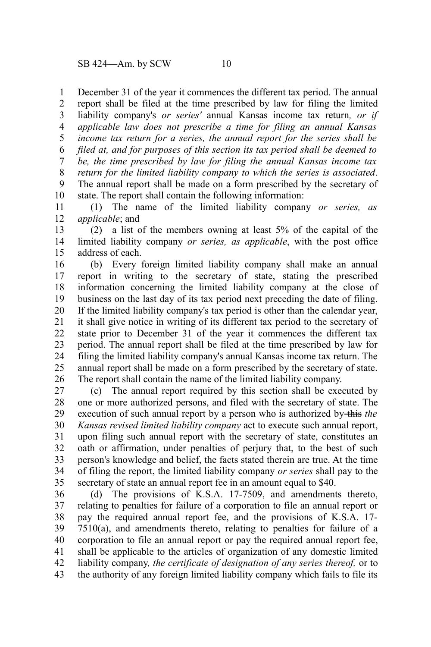December 31 of the year it commences the different tax period. The annual report shall be filed at the time prescribed by law for filing the limited liability company's *or series'* annual Kansas income tax return*, or if applicable law does not prescribe a time for filing an annual Kansas income tax return for a series, the annual report for the series shall be filed at, and for purposes of this section its tax period shall be deemed to be, the time prescribed by law for filing the annual Kansas income tax return for the limited liability company to which the series is associated*. The annual report shall be made on a form prescribed by the secretary of state. The report shall contain the following information: 1 2 3 4 5 6 7 8 9 10

(1) The name of the limited liability company *or series, as applicable*; and 11 12

(2) a list of the members owning at least 5% of the capital of the limited liability company *or series, as applicable*, with the post office address of each. 13 14 15

(b) Every foreign limited liability company shall make an annual report in writing to the secretary of state, stating the prescribed information concerning the limited liability company at the close of business on the last day of its tax period next preceding the date of filing. If the limited liability company's tax period is other than the calendar year, it shall give notice in writing of its different tax period to the secretary of state prior to December 31 of the year it commences the different tax period. The annual report shall be filed at the time prescribed by law for filing the limited liability company's annual Kansas income tax return. The annual report shall be made on a form prescribed by the secretary of state. The report shall contain the name of the limited liability company. 16 17 18 19 20 21 22 23 24 25 26

(c) The annual report required by this section shall be executed by one or more authorized persons, and filed with the secretary of state. The execution of such annual report by a person who is authorized by this *the Kansas revised limited liability company* act to execute such annual report, upon filing such annual report with the secretary of state, constitutes an oath or affirmation, under penalties of perjury that, to the best of such person's knowledge and belief, the facts stated therein are true. At the time of filing the report, the limited liability company *or series* shall pay to the secretary of state an annual report fee in an amount equal to \$40. 27 28 29 30 31 32 33 34 35

(d) The provisions of K.S.A. 17-7509, and amendments thereto, relating to penalties for failure of a corporation to file an annual report or pay the required annual report fee, and the provisions of K.S.A. 17- 7510(a), and amendments thereto, relating to penalties for failure of a corporation to file an annual report or pay the required annual report fee, shall be applicable to the articles of organization of any domestic limited liability company*, the certificate of designation of any series thereof,* or to the authority of any foreign limited liability company which fails to file its 36 37 38 39 40 41 42 43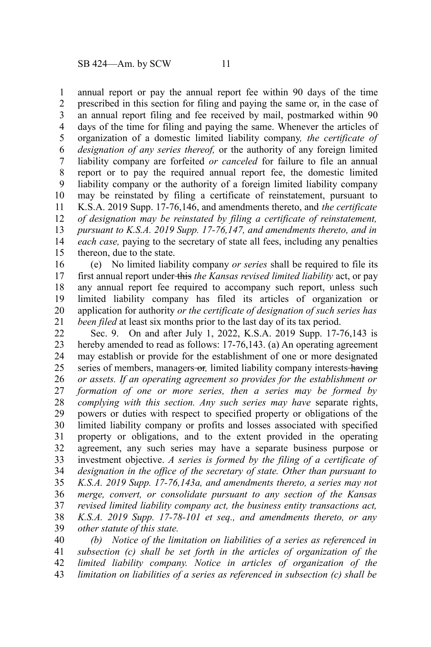annual report or pay the annual report fee within 90 days of the time prescribed in this section for filing and paying the same or, in the case of an annual report filing and fee received by mail, postmarked within 90 days of the time for filing and paying the same. Whenever the articles of organization of a domestic limited liability company*, the certificate of designation of any series thereof,* or the authority of any foreign limited liability company are forfeited *or canceled* for failure to file an annual report or to pay the required annual report fee, the domestic limited liability company or the authority of a foreign limited liability company may be reinstated by filing a certificate of reinstatement, pursuant to K.S.A. 2019 Supp. 17-76,146, and amendments thereto, and *the certificate of designation may be reinstated by filing a certificate of reinstatement, pursuant to K.S.A. 2019 Supp. 17-76,147, and amendments thereto, and in each case,* paying to the secretary of state all fees, including any penalties thereon, due to the state. 1 2 3 4 5 6 7 8 9 10 11 12 13 14 15

(e) No limited liability company *or series* shall be required to file its first annual report under this *the Kansas revised limited liability* act, or pay any annual report fee required to accompany such report, unless such limited liability company has filed its articles of organization or application for authority *or the certificate of designation of such series has been filed* at least six months prior to the last day of its tax period. 16 17 18 19 20 21

Sec. 9. On and after July 1, 2022, K.S.A. 2019 Supp. 17-76,143 is hereby amended to read as follows: 17-76,143. (a) An operating agreement may establish or provide for the establishment of one or more designated series of members, managers-or, limited liability company interests-having *or assets. If an operating agreement so provides for the establishment or formation of one or more series, then a series may be formed by complying with this section. Any such series may have* separate rights, powers or duties with respect to specified property or obligations of the limited liability company or profits and losses associated with specified property or obligations, and to the extent provided in the operating agreement, any such series may have a separate business purpose or investment objective. *A series is formed by the filing of a certificate of designation in the office of the secretary of state. Other than pursuant to K.S.A. 2019 Supp. 17-76,143a, and amendments thereto, a series may not merge, convert, or consolidate pursuant to any section of the Kansas revised limited liability company act, the business entity transactions act, K.S.A. 2019 Supp. 17-78-101 et seq., and amendments thereto, or any other statute of this state. (b) Notice of the limitation on liabilities of a series as referenced in* 22 23 24 25 26 27 28 29 30 31 32 33 34 35 36 37 38 39 40

*subsection (c) shall be set forth in the articles of organization of the limited liability company. Notice in articles of organization of the limitation on liabilities of a series as referenced in subsection (c) shall be* 41 42 43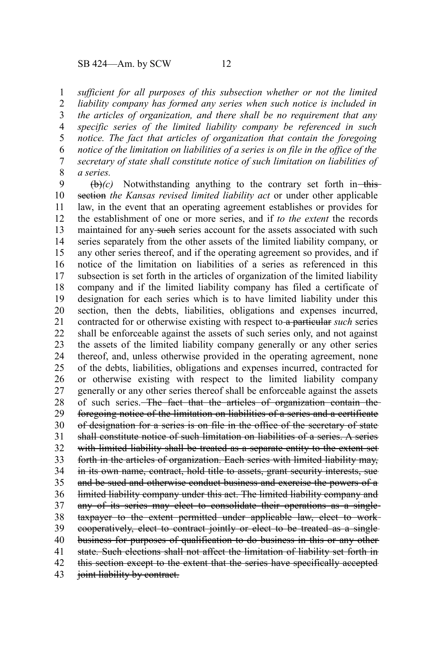*sufficient for all purposes of this subsection whether or not the limited liability company has formed any series when such notice is included in the articles of organization, and there shall be no requirement that any specific series of the limited liability company be referenced in such notice. The fact that articles of organization that contain the foregoing notice of the limitation on liabilities of a series is on file in the office of the secretary of state shall constitute notice of such limitation on liabilities of a series.* 1 2 3 4 5 6 7 8

 $(\theta)$ (c) Notwithstanding anything to the contrary set forth in-thissection *the Kansas revised limited liability act* or under other applicable law, in the event that an operating agreement establishes or provides for the establishment of one or more series, and if *to the extent* the records maintained for any such series account for the assets associated with such series separately from the other assets of the limited liability company, or any other series thereof, and if the operating agreement so provides, and if notice of the limitation on liabilities of a series as referenced in this subsection is set forth in the articles of organization of the limited liability company and if the limited liability company has filed a certificate of designation for each series which is to have limited liability under this section, then the debts, liabilities, obligations and expenses incurred, contracted for or otherwise existing with respect to a particular *such* series shall be enforceable against the assets of such series only, and not against the assets of the limited liability company generally or any other series thereof, and, unless otherwise provided in the operating agreement, none of the debts, liabilities, obligations and expenses incurred, contracted for or otherwise existing with respect to the limited liability company generally or any other series thereof shall be enforceable against the assets of such series. The fact that the articles of organization contain the foregoing notice of the limitation on liabilities of a series and a certificate of designation for a series is on file in the office of the secretary of state shall constitute notice of such limitation on liabilities of a series. A series with limited liability shall be treated as a separate entity to the extent set forth in the articles of organization. Each series with limited liability may, in its own name, contract, hold title to assets, grant security interests, sue and be sued and otherwise conduct business and exercise the powers of a limited liability company under this act. The limited liability company and any of its series may elect to consolidate their operations as a single taxpayer to the extent permitted under applicable law, elect to workcooperatively, elect to contract jointly or elect to be treated as a single business for purposes of qualification to do business in this or any other state. Such elections shall not affect the limitation of liability set forth in this section except to the extent that the series have specifically accepted joint liability by contract. 9 10 11 12 13 14 15 16 17 18 19 20 21 22 23 24 25 26 27 28 29 30 31 32 33 34 35 36 37 38 39 40 41 42 43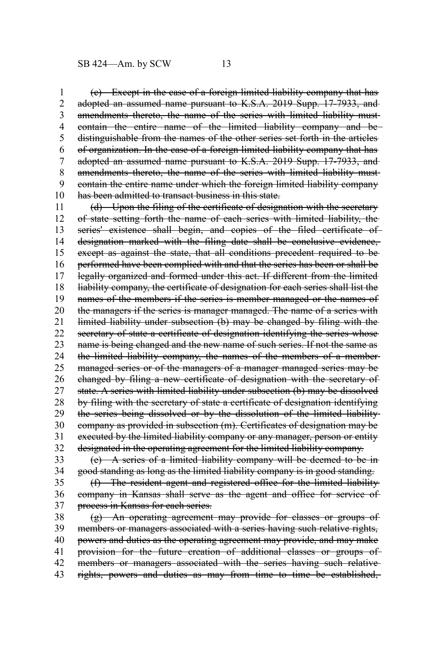(c) Except in the case of a foreign limited liability company that has adopted an assumed name pursuant to K.S.A. 2019 Supp. 17-7933, and amendments thereto, the name of the series with limited liability mustcontain the entire name of the limited liability company and be distinguishable from the names of the other series set forth in the articles of organization. In the case of a foreign limited liability company that has adopted an assumed name pursuant to K.S.A. 2019 Supp. 17-7933, and amendments thereto, the name of the series with limited liability mustcontain the entire name under which the foreign limited liability company has been admitted to transact business in this state. 1 2 3 4 5 6 7 8 9 10

(d) Upon the filing of the certificate of designation with the secretary of state setting forth the name of each series with limited liability, the series' existence shall begin, and copies of the filed certificate of designation marked with the filing date shall be conclusive evidence, except as against the state, that all conditions precedent required to beperformed have been complied with and that the series has been or shall be legally organized and formed under this act. If different from the limited liability company, the certificate of designation for each series shall list the names of the members if the series is member managed or the names of the managers if the series is manager managed. The name of a series with limited liability under subsection (b) may be changed by filing with the secretary of state a certificate of designation identifying the series whose name is being changed and the new name of such series. If not the same as the limited liability company, the names of the members of a member managed series or of the managers of a manager managed series may be changed by filing a new certificate of designation with the secretary of state. A series with limited liability under subsection (b) may be dissolved by filing with the secretary of state a certificate of designation identifying the series being dissolved or by the dissolution of the limited liability company as provided in subsection (m). Certificates of designation may be executed by the limited liability company or any manager, person or entity designated in the operating agreement for the limited liability company. 11 12 13 14 15 16 17 18 19 20 21 22 23 24 25 26 27 28 29 30 31 32

(e) A series of a limited liability company will be deemed to be in good standing as long as the limited liability company is in good standing. 33 34

(f) The resident agent and registered office for the limited liability company in Kansas shall serve as the agent and office for service of process in Kansas for each series. 35 36 37

(g) An operating agreement may provide for classes or groups of members or managers associated with a series having such relative rights, powers and duties as the operating agreement may provide, and may make provision for the future creation of additional classes or groups of members or managers associated with the series having such relative rights, powers and duties as may from time to time be established, 38 39 40 41 42 43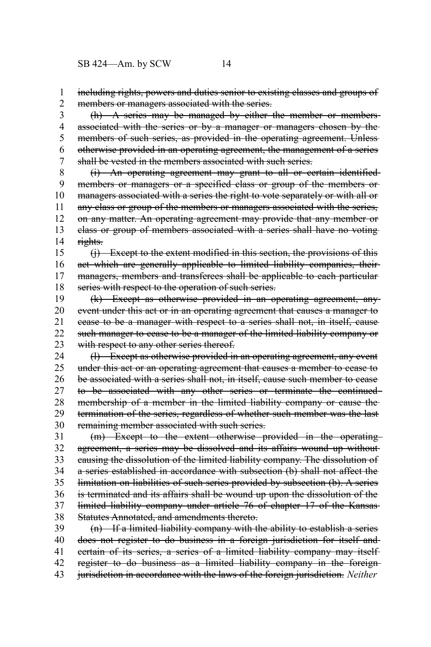including rights, powers and duties senior to existing classes and groups of members or managers associated with the series. 1 2

(h) A series may be managed by either the member or members associated with the series or by a manager or managers chosen by the members of such series, as provided in the operating agreement. Unlessotherwise provided in an operating agreement, the management of a series shall be vested in the members associated with such series. 3 4 5 6 7

(i) An operating agreement may grant to all or certain identified members or managers or a specified class or group of the members or managers associated with a series the right to vote separately or with all or any class or group of the members or managers associated with the series, on any matter. An operating agreement may provide that any member or class or group of members associated with a series shall have no voting rights. 8 9 10 11 12 13 14

(j) Except to the extent modified in this section, the provisions of this act which are generally applicable to limited liability companies, their managers, members and transferees shall be applicable to each particular series with respect to the operation of such series. 15 16 17 18

(k) Except as otherwise provided in an operating agreement, any event under this act or in an operating agreement that causes a manager to cease to be a manager with respect to a series shall not, in itself, cause such manager to cease to be a manager of the limited liability company or with respect to any other series thereof. 19 20 21 22 23

(l) Except as otherwise provided in an operating agreement, any event under this act or an operating agreement that causes a member to cease to be associated with a series shall not, in itself, cause such member to cease to be associated with any other series or terminate the continued membership of a member in the limited liability company or cause the termination of the series, regardless of whether such member was the last remaining member associated with such series. 24 25 26 27 28 29 30

(m) Except to the extent otherwise provided in the operating agreement, a series may be dissolved and its affairs wound up withoutcausing the dissolution of the limited liability company. The dissolution of a series established in accordance with subsection (b) shall not affect the limitation on liabilities of such series provided by subsection (b). A series is terminated and its affairs shall be wound up upon the dissolution of the limited liability company under article 76 of chapter 17 of the Kansas Statutes Annotated, and amendments thereto. 31 32 33 34 35 36 37 38 39

(n) If a limited liability company with the ability to establish a series does not register to do business in a foreign jurisdiction for itself and certain of its series, a series of a limited liability company may itself register to do business as a limited liability company in the foreignjurisdiction in accordance with the laws of the foreign jurisdiction. *Neither* 40 41 42 43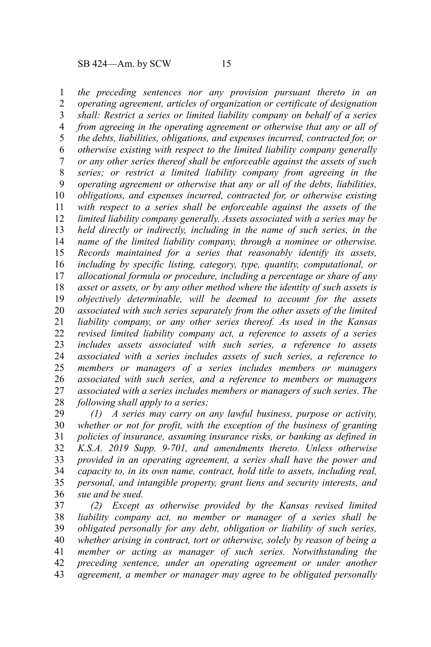*the preceding sentences nor any provision pursuant thereto in an operating agreement, articles of organization or certificate of designation shall: Restrict a series or limited liability company on behalf of a series from agreeing in the operating agreement or otherwise that any or all of the debts, liabilities, obligations, and expenses incurred, contracted for, or otherwise existing with respect to the limited liability company generally or any other series thereof shall be enforceable against the assets of such series; or restrict a limited liability company from agreeing in the operating agreement or otherwise that any or all of the debts, liabilities, obligations, and expenses incurred, contracted for, or otherwise existing with respect to a series shall be enforceable against the assets of the limited liability company generally. Assets associated with a series may be held directly or indirectly, including in the name of such series, in the name of the limited liability company, through a nominee or otherwise. Records maintained for a series that reasonably identify its assets, including by specific listing, category, type, quantity, computational, or allocational formula or procedure, including a percentage or share of any asset or assets, or by any other method where the identity of such assets is objectively determinable, will be deemed to account for the assets associated with such series separately from the other assets of the limited liability company, or any other series thereof. As used in the Kansas revised limited liability company act, a reference to assets of a series includes assets associated with such series, a reference to assets associated with a series includes assets of such series, a reference to members or managers of a series includes members or managers associated with such series, and a reference to members or managers associated with a series includes members or managers of such series. The following shall apply to a series:* 1 2 3 4 5 6 7 8 9 10 11 12 13 14 15 16 17 18 19 20 21 22 23 24 25 26 27 28

*(1) A series may carry on any lawful business, purpose or activity, whether or not for profit, with the exception of the business of granting policies of insurance, assuming insurance risks, or banking as defined in K.S.A. 2019 Supp. 9-701, and amendments thereto. Unless otherwise provided in an operating agreement, a series shall have the power and capacity to, in its own name, contract, hold title to assets, including real, personal, and intangible property, grant liens and security interests, and sue and be sued.* 29 30 31 32 33 34 35 36

*(2) Except as otherwise provided by the Kansas revised limited liability company act, no member or manager of a series shall be obligated personally for any debt, obligation or liability of such series, whether arising in contract, tort or otherwise, solely by reason of being a member or acting as manager of such series. Notwithstanding the preceding sentence, under an operating agreement or under another agreement, a member or manager may agree to be obligated personally* 37 38 39 40 41 42 43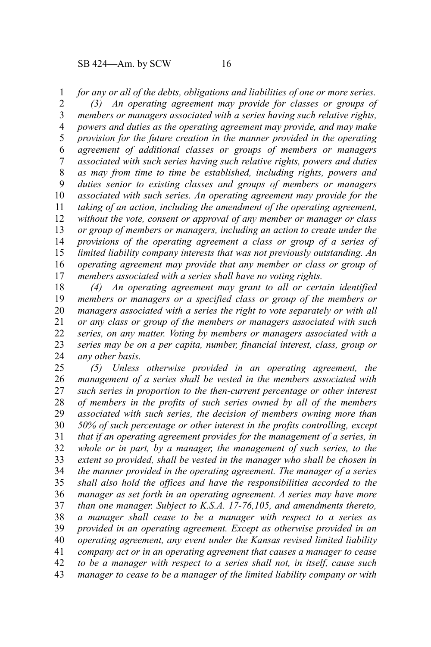*for any or all of the debts, obligations and liabilities of one or more series.* 1

*(3) An operating agreement may provide for classes or groups of members or managers associated with a series having such relative rights, powers and duties as the operating agreement may provide, and may make provision for the future creation in the manner provided in the operating agreement of additional classes or groups of members or managers associated with such series having such relative rights, powers and duties as may from time to time be established, including rights, powers and duties senior to existing classes and groups of members or managers associated with such series. An operating agreement may provide for the taking of an action, including the amendment of the operating agreement, without the vote, consent or approval of any member or manager or class or group of members or managers, including an action to create under the provisions of the operating agreement a class or group of a series of limited liability company interests that was not previously outstanding. An operating agreement may provide that any member or class or group of members associated with a series shall have no voting rights.* 2 3 4 5 6 7 8 9 10 11 12 13 14 15 16 17

*(4) An operating agreement may grant to all or certain identified members or managers or a specified class or group of the members or managers associated with a series the right to vote separately or with all or any class or group of the members or managers associated with such series, on any matter. Voting by members or managers associated with a series may be on a per capita, number, financial interest, class, group or any other basis.* 18 19 20 21 22 23 24

*(5) Unless otherwise provided in an operating agreement, the management of a series shall be vested in the members associated with such series in proportion to the then-current percentage or other interest of members in the profits of such series owned by all of the members associated with such series, the decision of members owning more than 50% of such percentage or other interest in the profits controlling, except that if an operating agreement provides for the management of a series, in whole or in part, by a manager, the management of such series, to the extent so provided, shall be vested in the manager who shall be chosen in the manner provided in the operating agreement. The manager of a series shall also hold the offices and have the responsibilities accorded to the manager as set forth in an operating agreement. A series may have more than one manager. Subject to K.S.A. 17-76,105, and amendments thereto, a manager shall cease to be a manager with respect to a series as provided in an operating agreement. Except as otherwise provided in an operating agreement, any event under the Kansas revised limited liability company act or in an operating agreement that causes a manager to cease to be a manager with respect to a series shall not, in itself, cause such manager to cease to be a manager of the limited liability company or with* 25 26 27 28 29 30 31 32 33 34 35 36 37 38 39 40 41 42 43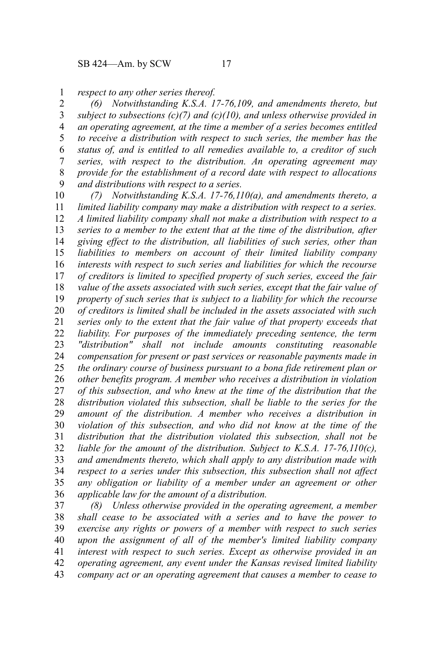*respect to any other series thereof.* 1

*(6) Notwithstanding K.S.A. 17-76,109, and amendments thereto, but subject to subsections (c)(7) and (c)(10), and unless otherwise provided in an operating agreement, at the time a member of a series becomes entitled to receive a distribution with respect to such series, the member has the status of, and is entitled to all remedies available to, a creditor of such series, with respect to the distribution. An operating agreement may provide for the establishment of a record date with respect to allocations and distributions with respect to a series.* 2 3 4 5 6 7 8 9

*(7) Notwithstanding K.S.A. 17-76,110(a), and amendments thereto, a limited liability company may make a distribution with respect to a series. A limited liability company shall not make a distribution with respect to a series to a member to the extent that at the time of the distribution, after giving effect to the distribution, all liabilities of such series, other than liabilities to members on account of their limited liability company interests with respect to such series and liabilities for which the recourse of creditors is limited to specified property of such series, exceed the fair value of the assets associated with such series, except that the fair value of property of such series that is subject to a liability for which the recourse of creditors is limited shall be included in the assets associated with such series only to the extent that the fair value of that property exceeds that liability. For purposes of the immediately preceding sentence, the term "distribution" shall not include amounts constituting reasonable compensation for present or past services or reasonable payments made in the ordinary course of business pursuant to a bona fide retirement plan or other benefits program. A member who receives a distribution in violation of this subsection, and who knew at the time of the distribution that the distribution violated this subsection, shall be liable to the series for the amount of the distribution. A member who receives a distribution in violation of this subsection, and who did not know at the time of the distribution that the distribution violated this subsection, shall not be liable for the amount of the distribution. Subject to K.S.A. 17-76,110(c), and amendments thereto, which shall apply to any distribution made with respect to a series under this subsection, this subsection shall not affect any obligation or liability of a member under an agreement or other applicable law for the amount of a distribution.* 10 11 12 13 14 15 16 17 18 19 20 21 22 23 24 25 26 27 28 29 30 31 32 33 34 35 36

*(8) Unless otherwise provided in the operating agreement, a member shall cease to be associated with a series and to have the power to exercise any rights or powers of a member with respect to such series upon the assignment of all of the member's limited liability company interest with respect to such series. Except as otherwise provided in an operating agreement, any event under the Kansas revised limited liability company act or an operating agreement that causes a member to cease to* 37 38 39 40 41 42 43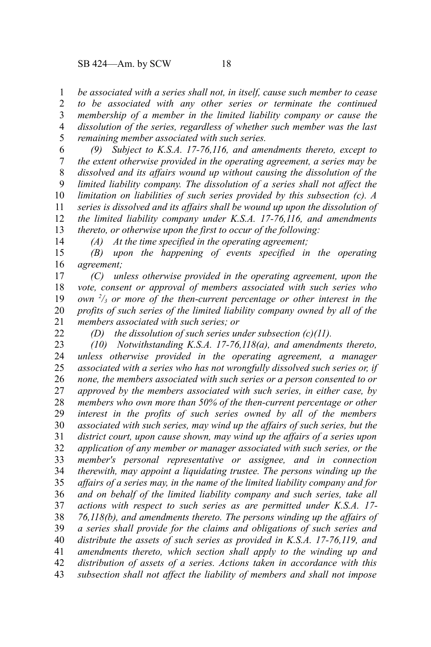22

*be associated with a series shall not, in itself, cause such member to cease to be associated with any other series or terminate the continued membership of a member in the limited liability company or cause the dissolution of the series, regardless of whether such member was the last remaining member associated with such series.* 1 2 3 4 5

*(9) Subject to K.S.A. 17-76,116, and amendments thereto, except to the extent otherwise provided in the operating agreement, a series may be dissolved and its affairs wound up without causing the dissolution of the limited liability company. The dissolution of a series shall not affect the limitation on liabilities of such series provided by this subsection (c). A series is dissolved and its affairs shall be wound up upon the dissolution of the limited liability company under K.S.A. 17-76,116, and amendments thereto, or otherwise upon the first to occur of the following:* 6 7 8 9 10 11 12 13 14

*(A) At the time specified in the operating agreement;*

*(B) upon the happening of events specified in the operating agreement;* 15 16

*(C) unless otherwise provided in the operating agreement, upon the vote, consent or approval of members associated with such series who own <sup>2</sup> /3 or more of the then-current percentage or other interest in the profits of such series of the limited liability company owned by all of the members associated with such series; or* 17 18 19 20 21

*(D) the dissolution of such series under subsection (c)(11).*

*(10) Notwithstanding K.S.A. 17-76,118(a), and amendments thereto, unless otherwise provided in the operating agreement, a manager associated with a series who has not wrongfully dissolved such series or, if none, the members associated with such series or a person consented to or approved by the members associated with such series, in either case, by members who own more than 50% of the then-current percentage or other interest in the profits of such series owned by all of the members associated with such series, may wind up the affairs of such series, but the district court, upon cause shown, may wind up the affairs of a series upon application of any member or manager associated with such series, or the member's personal representative or assignee, and in connection therewith, may appoint a liquidating trustee. The persons winding up the affairs of a series may, in the name of the limited liability company and for and on behalf of the limited liability company and such series, take all actions with respect to such series as are permitted under K.S.A. 17- 76,118(b), and amendments thereto. The persons winding up the affairs of a series shall provide for the claims and obligations of such series and distribute the assets of such series as provided in K.S.A. 17-76,119, and amendments thereto, which section shall apply to the winding up and distribution of assets of a series. Actions taken in accordance with this subsection shall not affect the liability of members and shall not impose* 23 24 25 26 27 28 29 30 31 32 33 34 35 36 37 38 39 40 41 42 43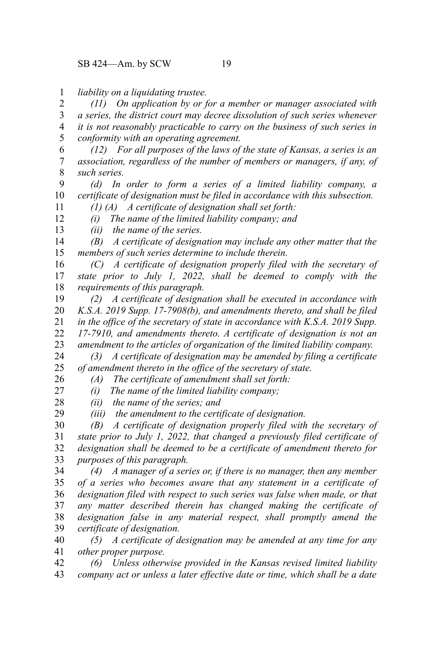SB 424—Am. by SCW 19

*liability on a liquidating trustee.* 1

*(11) On application by or for a member or manager associated with a series, the district court may decree dissolution of such series whenever it is not reasonably practicable to carry on the business of such series in conformity with an operating agreement.* 2 3 4 5

*(12) For all purposes of the laws of the state of Kansas, a series is an association, regardless of the number of members or managers, if any, of such series.* 6 7 8

*(d) In order to form a series of a limited liability company, a certificate of designation must be filed in accordance with this subsection.* 9 10

*(1) (A) A certificate of designation shall set forth:*

11 12 13

26

*(i) The name of the limited liability company; and (ii) the name of the series.*

*(B) A certificate of designation may include any other matter that the members of such series determine to include therein.* 14 15

*(C) A certificate of designation properly filed with the secretary of state prior to July 1, 2022, shall be deemed to comply with the requirements of this paragraph.* 16 17 18

*(2) A certificate of designation shall be executed in accordance with K.S.A. 2019 Supp. 17-7908(b), and amendments thereto, and shall be filed in the office of the secretary of state in accordance with K.S.A. 2019 Supp. 17-7910, and amendments thereto. A certificate of designation is not an amendment to the articles of organization of the limited liability company.* 19 20 21 22 23

*(3) A certificate of designation may be amended by filing a certificate of amendment thereto in the office of the secretary of state.* 24 25

*(A) The certificate of amendment shall set forth:*

*(i) The name of the limited liability company;* 27

*(ii) the name of the series; and* 28

*(iii) the amendment to the certificate of designation.* 29

*(B) A certificate of designation properly filed with the secretary of state prior to July 1, 2022, that changed a previously filed certificate of designation shall be deemed to be a certificate of amendment thereto for purposes of this paragraph.* 30 31 32 33

*(4) A manager of a series or, if there is no manager, then any member of a series who becomes aware that any statement in a certificate of designation filed with respect to such series was false when made, or that any matter described therein has changed making the certificate of designation false in any material respect, shall promptly amend the certificate of designation.* 34 35 36 37 38 39

*(5) A certificate of designation may be amended at any time for any other proper purpose.* 40 41

*(6) Unless otherwise provided in the Kansas revised limited liability company act or unless a later effective date or time, which shall be a date* 42 43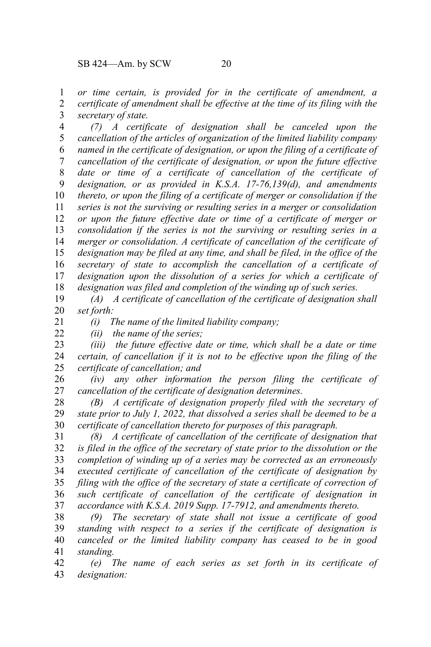*or time certain, is provided for in the certificate of amendment, a certificate of amendment shall be effective at the time of its filing with the secretary of state.* 1 2 3

*(7) A certificate of designation shall be canceled upon the cancellation of the articles of organization of the limited liability company named in the certificate of designation, or upon the filing of a certificate of cancellation of the certificate of designation, or upon the future effective date or time of a certificate of cancellation of the certificate of designation, or as provided in K.S.A. 17-76,139(d), and amendments thereto, or upon the filing of a certificate of merger or consolidation if the series is not the surviving or resulting series in a merger or consolidation or upon the future effective date or time of a certificate of merger or consolidation if the series is not the surviving or resulting series in a merger or consolidation. A certificate of cancellation of the certificate of designation may be filed at any time, and shall be filed, in the office of the secretary of state to accomplish the cancellation of a certificate of designation upon the dissolution of a series for which a certificate of designation was filed and completion of the winding up of such series.* 4 5 6 7 8 9 10 11 12 13 14 15 16 17 18

*(A) A certificate of cancellation of the certificate of designation shall set forth:* 19 20

*(i) The name of the limited liability company;*

21 22

*(ii) the name of the series; (iii) the future effective date or time, which shall be a date or time certain, of cancellation if it is not to be effective upon the filing of the* 23 24

*certificate of cancellation; and* 25

*(iv) any other information the person filing the certificate of cancellation of the certificate of designation determines.* 26 27

*(B) A certificate of designation properly filed with the secretary of state prior to July 1, 2022, that dissolved a series shall be deemed to be a certificate of cancellation thereto for purposes of this paragraph.* 28 29 30

*(8) A certificate of cancellation of the certificate of designation that is filed in the office of the secretary of state prior to the dissolution or the completion of winding up of a series may be corrected as an erroneously executed certificate of cancellation of the certificate of designation by filing with the office of the secretary of state a certificate of correction of such certificate of cancellation of the certificate of designation in accordance with K.S.A. 2019 Supp. 17-7912, and amendments thereto.* 31 32 33 34 35 36 37

*(9) The secretary of state shall not issue a certificate of good standing with respect to a series if the certificate of designation is canceled or the limited liability company has ceased to be in good standing.* 38 39 40 41

*(e) The name of each series as set forth in its certificate of designation:* 42 43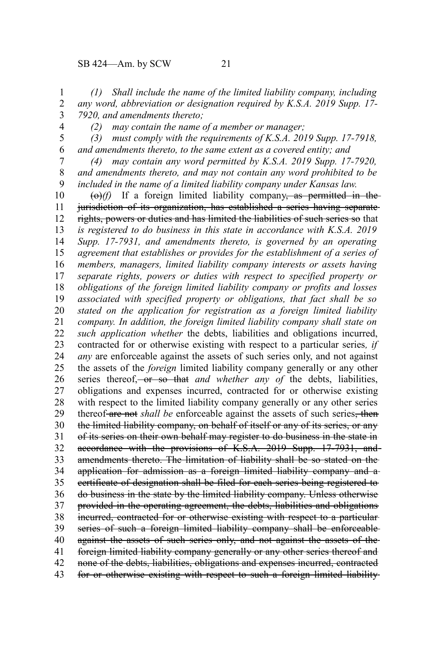*(1) Shall include the name of the limited liability company, including any word, abbreviation or designation required by K.S.A. 2019 Supp. 17- 7920, and amendments thereto;* 1 2 3

4

*(2) may contain the name of a member or manager;*

*(3) must comply with the requirements of K.S.A. 2019 Supp. 17-7918, and amendments thereto, to the same extent as a covered entity; and* 5 6

*(4) may contain any word permitted by K.S.A. 2019 Supp. 17-7920, and amendments thereto, and may not contain any word prohibited to be included in the name of a limited liability company under Kansas law.* 7 8 9

 $\left(\frac{\Theta}{f}\right)$  If a foreign limited liability company, as permitted in the jurisdiction of its organization, has established a series having separate rights, powers or duties and has limited the liabilities of such series so that *is registered to do business in this state in accordance with K.S.A. 2019 Supp. 17-7931, and amendments thereto, is governed by an operating agreement that establishes or provides for the establishment of a series of members, managers, limited liability company interests or assets having separate rights, powers or duties with respect to specified property or obligations of the foreign limited liability company or profits and losses associated with specified property or obligations, that fact shall be so stated on the application for registration as a foreign limited liability company. In addition, the foreign limited liability company shall state on such application whether* the debts, liabilities and obligations incurred, contracted for or otherwise existing with respect to a particular series*, if any* are enforceable against the assets of such series only, and not against the assets of the *foreign* limited liability company generally or any other series thereof, or so that *and whether any of* the debts, liabilities, obligations and expenses incurred, contracted for or otherwise existing with respect to the limited liability company generally or any other series thereof-are not *shall be* enforceable against the assets of such series, then the limited liability company, on behalf of itself or any of its series, or any of its series on their own behalf may register to do business in the state in accordance with the provisions of K.S.A. 2019 Supp. 17-7931, andamendments thereto. The limitation of liability shall be so stated on the application for admission as a foreign limited liability company and a certificate of designation shall be filed for each series being registered to do business in the state by the limited liability company. Unless otherwise provided in the operating agreement, the debts, liabilities and obligations incurred, contracted for or otherwise existing with respect to a particular series of such a foreign limited liability company shall be enforceableagainst the assets of such series only, and not against the assets of the foreign limited liability company generally or any other series thereof and none of the debts, liabilities, obligations and expenses incurred, contracted for or otherwise existing with respect to such a foreign limited liability 10 11 12 13 14 15 16 17 18 19 20 21 22 23 24 25 26 27 28 29 30 31 32 33 34 35 36 37 38 39 40 41 42 43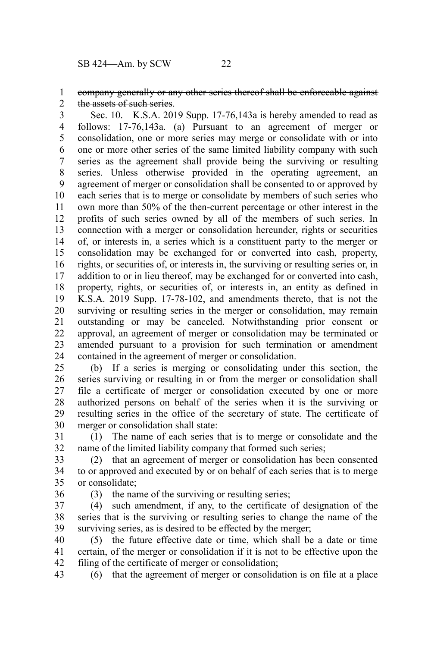company generally or any other series thereof shall be enforceable against the assets of such series. 1 2

Sec. 10. K.S.A. 2019 Supp. 17-76,143a is hereby amended to read as follows: 17-76,143a. (a) Pursuant to an agreement of merger or consolidation, one or more series may merge or consolidate with or into one or more other series of the same limited liability company with such series as the agreement shall provide being the surviving or resulting series. Unless otherwise provided in the operating agreement, an agreement of merger or consolidation shall be consented to or approved by each series that is to merge or consolidate by members of such series who own more than 50% of the then-current percentage or other interest in the profits of such series owned by all of the members of such series. In connection with a merger or consolidation hereunder, rights or securities of, or interests in, a series which is a constituent party to the merger or consolidation may be exchanged for or converted into cash, property, rights, or securities of, or interests in, the surviving or resulting series or, in addition to or in lieu thereof, may be exchanged for or converted into cash, property, rights, or securities of, or interests in, an entity as defined in K.S.A. 2019 Supp. 17-78-102, and amendments thereto, that is not the surviving or resulting series in the merger or consolidation, may remain outstanding or may be canceled. Notwithstanding prior consent or approval, an agreement of merger or consolidation may be terminated or amended pursuant to a provision for such termination or amendment contained in the agreement of merger or consolidation. 3 4 5 6 7 8 9 10 11 12 13 14 15 16 17 18 19 20 21 22 23 24

(b) If a series is merging or consolidating under this section, the series surviving or resulting in or from the merger or consolidation shall file a certificate of merger or consolidation executed by one or more authorized persons on behalf of the series when it is the surviving or resulting series in the office of the secretary of state. The certificate of merger or consolidation shall state: 25 26 27 28 29 30

(1) The name of each series that is to merge or consolidate and the name of the limited liability company that formed such series; 31 32

(2) that an agreement of merger or consolidation has been consented to or approved and executed by or on behalf of each series that is to merge or consolidate; 33 34 35

36

(3) the name of the surviving or resulting series;

(4) such amendment, if any, to the certificate of designation of the series that is the surviving or resulting series to change the name of the surviving series, as is desired to be effected by the merger; 37 38 39

(5) the future effective date or time, which shall be a date or time certain, of the merger or consolidation if it is not to be effective upon the filing of the certificate of merger or consolidation; 40 41 42

(6) that the agreement of merger or consolidation is on file at a place 43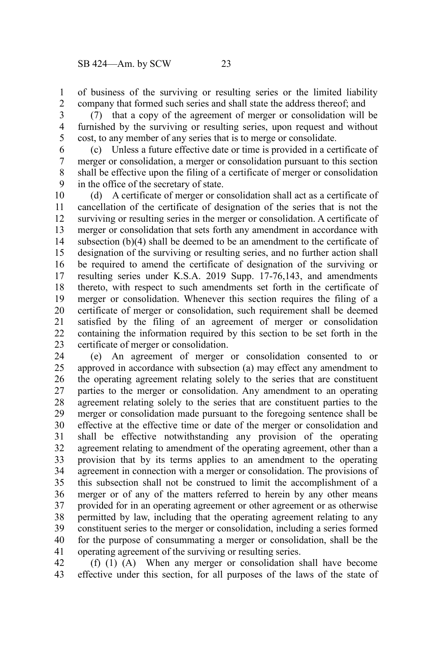of business of the surviving or resulting series or the limited liability company that formed such series and shall state the address thereof; and 1 2

(7) that a copy of the agreement of merger or consolidation will be furnished by the surviving or resulting series, upon request and without cost, to any member of any series that is to merge or consolidate. 3 4 5

(c) Unless a future effective date or time is provided in a certificate of merger or consolidation, a merger or consolidation pursuant to this section shall be effective upon the filing of a certificate of merger or consolidation in the office of the secretary of state. 6 7 8 9

(d) A certificate of merger or consolidation shall act as a certificate of cancellation of the certificate of designation of the series that is not the surviving or resulting series in the merger or consolidation. A certificate of merger or consolidation that sets forth any amendment in accordance with subsection (b)(4) shall be deemed to be an amendment to the certificate of designation of the surviving or resulting series, and no further action shall be required to amend the certificate of designation of the surviving or resulting series under K.S.A. 2019 Supp. 17-76,143, and amendments thereto, with respect to such amendments set forth in the certificate of merger or consolidation. Whenever this section requires the filing of a certificate of merger or consolidation, such requirement shall be deemed satisfied by the filing of an agreement of merger or consolidation containing the information required by this section to be set forth in the certificate of merger or consolidation. 10 11 12 13 14 15 16 17 18 19 20 21 22 23

(e) An agreement of merger or consolidation consented to or approved in accordance with subsection (a) may effect any amendment to the operating agreement relating solely to the series that are constituent parties to the merger or consolidation. Any amendment to an operating agreement relating solely to the series that are constituent parties to the merger or consolidation made pursuant to the foregoing sentence shall be effective at the effective time or date of the merger or consolidation and shall be effective notwithstanding any provision of the operating agreement relating to amendment of the operating agreement, other than a provision that by its terms applies to an amendment to the operating agreement in connection with a merger or consolidation. The provisions of this subsection shall not be construed to limit the accomplishment of a merger or of any of the matters referred to herein by any other means provided for in an operating agreement or other agreement or as otherwise permitted by law, including that the operating agreement relating to any constituent series to the merger or consolidation, including a series formed for the purpose of consummating a merger or consolidation, shall be the operating agreement of the surviving or resulting series. 24 25 26 27 28 29 30 31 32 33 34 35 36 37 38 39 40 41

(f) (1) (A) When any merger or consolidation shall have become effective under this section, for all purposes of the laws of the state of 42 43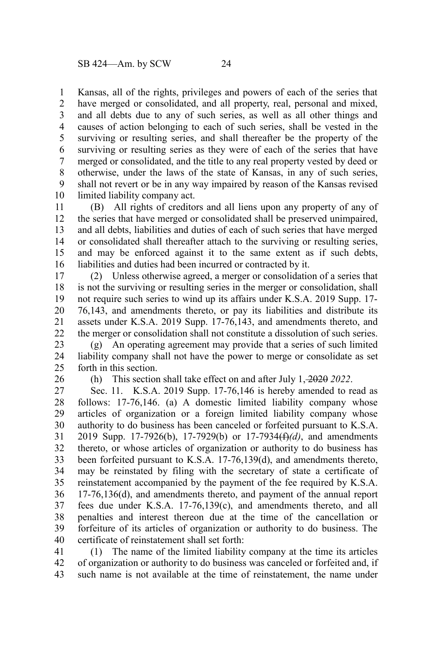Kansas, all of the rights, privileges and powers of each of the series that have merged or consolidated, and all property, real, personal and mixed, and all debts due to any of such series, as well as all other things and causes of action belonging to each of such series, shall be vested in the surviving or resulting series, and shall thereafter be the property of the surviving or resulting series as they were of each of the series that have merged or consolidated, and the title to any real property vested by deed or otherwise, under the laws of the state of Kansas, in any of such series, shall not revert or be in any way impaired by reason of the Kansas revised limited liability company act. 1 2 3 4 5 6 7 8 9 10

(B) All rights of creditors and all liens upon any property of any of the series that have merged or consolidated shall be preserved unimpaired, and all debts, liabilities and duties of each of such series that have merged or consolidated shall thereafter attach to the surviving or resulting series, and may be enforced against it to the same extent as if such debts, liabilities and duties had been incurred or contracted by it. 11 12 13 14 15 16

(2) Unless otherwise agreed, a merger or consolidation of a series that is not the surviving or resulting series in the merger or consolidation, shall not require such series to wind up its affairs under K.S.A. 2019 Supp. 17- 76,143, and amendments thereto, or pay its liabilities and distribute its assets under K.S.A. 2019 Supp. 17-76,143, and amendments thereto, and the merger or consolidation shall not constitute a dissolution of such series. 17 18 19 20 21 22

(g) An operating agreement may provide that a series of such limited liability company shall not have the power to merge or consolidate as set forth in this section. 23 24 25

26

(h) This section shall take effect on and after July 1, 2020 *2022*.

Sec. 11. K.S.A. 2019 Supp. 17-76,146 is hereby amended to read as follows: 17-76,146. (a) A domestic limited liability company whose articles of organization or a foreign limited liability company whose authority to do business has been canceled or forfeited pursuant to K.S.A. 2019 Supp. 17-7926(b), 17-7929(b) or 17-7934(f)*(d)*, and amendments thereto, or whose articles of organization or authority to do business has been forfeited pursuant to K.S.A. 17-76,139(d), and amendments thereto, may be reinstated by filing with the secretary of state a certificate of reinstatement accompanied by the payment of the fee required by K.S.A. 17-76,136(d), and amendments thereto, and payment of the annual report fees due under K.S.A. 17-76,139(c), and amendments thereto, and all penalties and interest thereon due at the time of the cancellation or forfeiture of its articles of organization or authority to do business. The certificate of reinstatement shall set forth: 27 28 29 30 31 32 33 34 35 36 37 38 39 40

(1) The name of the limited liability company at the time its articles of organization or authority to do business was canceled or forfeited and, if such name is not available at the time of reinstatement, the name under 41 42 43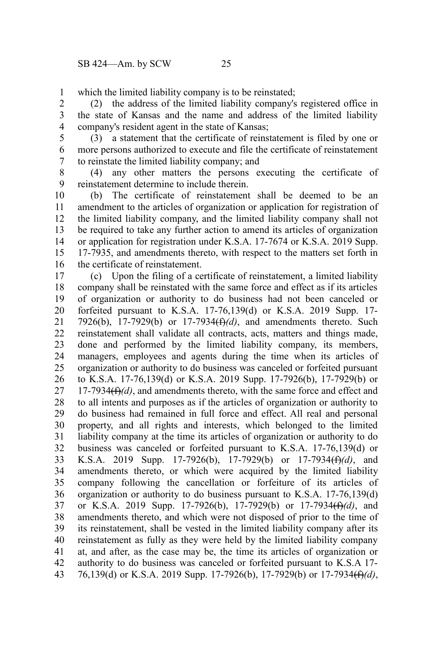which the limited liability company is to be reinstated; 1

(2) the address of the limited liability company's registered office in the state of Kansas and the name and address of the limited liability company's resident agent in the state of Kansas; 2 3 4

5

(3) a statement that the certificate of reinstatement is filed by one or more persons authorized to execute and file the certificate of reinstatement to reinstate the limited liability company; and 6 7

(4) any other matters the persons executing the certificate of reinstatement determine to include therein. 8 9

(b) The certificate of reinstatement shall be deemed to be an amendment to the articles of organization or application for registration of the limited liability company, and the limited liability company shall not be required to take any further action to amend its articles of organization or application for registration under K.S.A. 17-7674 or K.S.A. 2019 Supp. 17-7935, and amendments thereto, with respect to the matters set forth in the certificate of reinstatement. 10 11 12 13 14 15 16

(c) Upon the filing of a certificate of reinstatement, a limited liability company shall be reinstated with the same force and effect as if its articles of organization or authority to do business had not been canceled or forfeited pursuant to K.S.A. 17-76,139(d) or K.S.A. 2019 Supp. 17- 7926(b), 17-7929(b) or 17-7934(f)*(d)*, and amendments thereto. Such reinstatement shall validate all contracts, acts, matters and things made, done and performed by the limited liability company, its members, managers, employees and agents during the time when its articles of organization or authority to do business was canceled or forfeited pursuant to K.S.A. 17-76,139(d) or K.S.A. 2019 Supp. 17-7926(b), 17-7929(b) or 17-7934(f)*(d)*, and amendments thereto, with the same force and effect and to all intents and purposes as if the articles of organization or authority to do business had remained in full force and effect. All real and personal property, and all rights and interests, which belonged to the limited liability company at the time its articles of organization or authority to do business was canceled or forfeited pursuant to K.S.A. 17-76,139(d) or K.S.A. 2019 Supp. 17-7926(b), 17-7929(b) or 17-7934(f)*(d)*, and amendments thereto, or which were acquired by the limited liability company following the cancellation or forfeiture of its articles of organization or authority to do business pursuant to K.S.A. 17-76,139(d) or K.S.A. 2019 Supp. 17-7926(b), 17-7929(b) or 17-7934(f)*(d)*, and amendments thereto, and which were not disposed of prior to the time of its reinstatement, shall be vested in the limited liability company after its reinstatement as fully as they were held by the limited liability company at, and after, as the case may be, the time its articles of organization or authority to do business was canceled or forfeited pursuant to K.S.A 17- 76,139(d) or K.S.A. 2019 Supp. 17-7926(b), 17-7929(b) or 17-7934(f)*(d)*, 17 18 19 20 21 22 23 24 25 26 27 28 29 30 31 32 33 34 35 36 37 38 39 40 41 42 43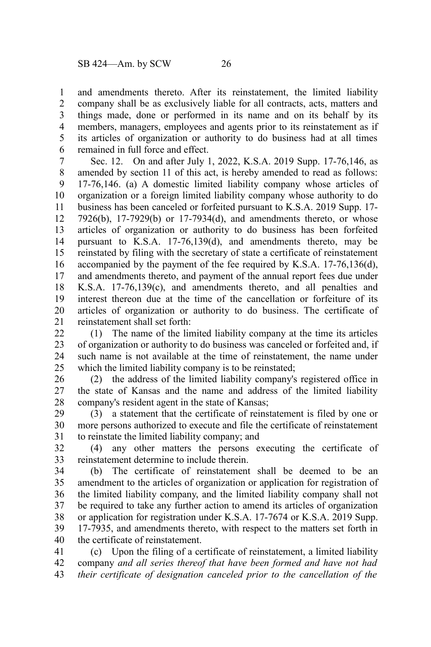and amendments thereto. After its reinstatement, the limited liability company shall be as exclusively liable for all contracts, acts, matters and things made, done or performed in its name and on its behalf by its members, managers, employees and agents prior to its reinstatement as if its articles of organization or authority to do business had at all times remained in full force and effect. 1 2 3 4 5 6

Sec. 12. On and after July 1, 2022, K.S.A. 2019 Supp. 17-76,146, as amended by section 11 of this act, is hereby amended to read as follows: 17-76,146. (a) A domestic limited liability company whose articles of organization or a foreign limited liability company whose authority to do business has been canceled or forfeited pursuant to K.S.A. 2019 Supp. 17- 7926(b), 17-7929(b) or 17-7934(d), and amendments thereto, or whose articles of organization or authority to do business has been forfeited pursuant to K.S.A. 17-76,139(d), and amendments thereto, may be reinstated by filing with the secretary of state a certificate of reinstatement accompanied by the payment of the fee required by K.S.A. 17-76,136(d), and amendments thereto, and payment of the annual report fees due under K.S.A. 17-76,139(c), and amendments thereto, and all penalties and interest thereon due at the time of the cancellation or forfeiture of its articles of organization or authority to do business. The certificate of reinstatement shall set forth: 7 8 9 10 11 12 13 14 15 16 17 18 19 20 21

(1) The name of the limited liability company at the time its articles of organization or authority to do business was canceled or forfeited and, if such name is not available at the time of reinstatement, the name under which the limited liability company is to be reinstated; 22 23 24 25

(2) the address of the limited liability company's registered office in the state of Kansas and the name and address of the limited liability company's resident agent in the state of Kansas; 26 27 28

(3) a statement that the certificate of reinstatement is filed by one or more persons authorized to execute and file the certificate of reinstatement to reinstate the limited liability company; and 29 30 31

(4) any other matters the persons executing the certificate of reinstatement determine to include therein. 32 33

(b) The certificate of reinstatement shall be deemed to be an amendment to the articles of organization or application for registration of the limited liability company, and the limited liability company shall not be required to take any further action to amend its articles of organization or application for registration under K.S.A. 17-7674 or K.S.A. 2019 Supp. 17-7935, and amendments thereto, with respect to the matters set forth in the certificate of reinstatement. 34 35 36 37 38 39 40

(c) Upon the filing of a certificate of reinstatement, a limited liability company *and all series thereof that have been formed and have not had their certificate of designation canceled prior to the cancellation of the* 41 42 43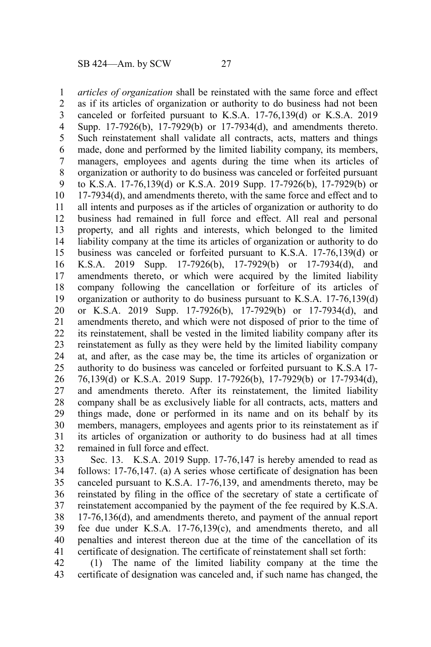*articles of organization* shall be reinstated with the same force and effect as if its articles of organization or authority to do business had not been canceled or forfeited pursuant to K.S.A. 17-76,139(d) or K.S.A. 2019 Supp. 17-7926(b), 17-7929(b) or 17-7934(d), and amendments thereto. Such reinstatement shall validate all contracts, acts, matters and things made, done and performed by the limited liability company, its members, managers, employees and agents during the time when its articles of organization or authority to do business was canceled or forfeited pursuant to K.S.A. 17-76,139(d) or K.S.A. 2019 Supp. 17-7926(b), 17-7929(b) or 17-7934(d), and amendments thereto, with the same force and effect and to all intents and purposes as if the articles of organization or authority to do business had remained in full force and effect. All real and personal property, and all rights and interests, which belonged to the limited liability company at the time its articles of organization or authority to do business was canceled or forfeited pursuant to K.S.A. 17-76,139(d) or K.S.A. 2019 Supp. 17-7926(b), 17-7929(b) or 17-7934(d), and amendments thereto, or which were acquired by the limited liability company following the cancellation or forfeiture of its articles of organization or authority to do business pursuant to K.S.A. 17-76,139(d) or K.S.A. 2019 Supp. 17-7926(b), 17-7929(b) or 17-7934(d), and amendments thereto, and which were not disposed of prior to the time of its reinstatement, shall be vested in the limited liability company after its reinstatement as fully as they were held by the limited liability company at, and after, as the case may be, the time its articles of organization or authority to do business was canceled or forfeited pursuant to K.S.A 17- 76,139(d) or K.S.A. 2019 Supp. 17-7926(b), 17-7929(b) or 17-7934(d), and amendments thereto. After its reinstatement, the limited liability company shall be as exclusively liable for all contracts, acts, matters and things made, done or performed in its name and on its behalf by its members, managers, employees and agents prior to its reinstatement as if its articles of organization or authority to do business had at all times remained in full force and effect. 1 2 3 4 5 6 7 8 9 10 11 12 13 14 15 16 17 18 19 20 21 22 23 24 25 26 27 28 29 30 31 32

Sec. 13. K.S.A. 2019 Supp. 17-76,147 is hereby amended to read as follows: 17-76,147. (a) A series whose certificate of designation has been canceled pursuant to K.S.A. 17-76,139, and amendments thereto, may be reinstated by filing in the office of the secretary of state a certificate of reinstatement accompanied by the payment of the fee required by K.S.A. 17-76,136(d), and amendments thereto, and payment of the annual report fee due under K.S.A. 17-76,139(c), and amendments thereto, and all penalties and interest thereon due at the time of the cancellation of its certificate of designation. The certificate of reinstatement shall set forth: 33 34 35 36 37 38 39 40 41

(1) The name of the limited liability company at the time the certificate of designation was canceled and, if such name has changed, the 42 43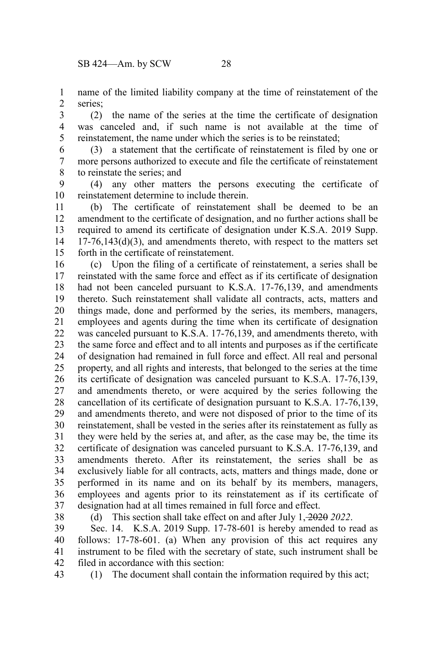name of the limited liability company at the time of reinstatement of the series; 1 2

(2) the name of the series at the time the certificate of designation was canceled and, if such name is not available at the time of reinstatement, the name under which the series is to be reinstated; 3 4 5

(3) a statement that the certificate of reinstatement is filed by one or more persons authorized to execute and file the certificate of reinstatement to reinstate the series; and 6 7 8

(4) any other matters the persons executing the certificate of reinstatement determine to include therein. 9 10

(b) The certificate of reinstatement shall be deemed to be an amendment to the certificate of designation, and no further actions shall be required to amend its certificate of designation under K.S.A. 2019 Supp.  $17-76,143(d)(3)$ , and amendments thereto, with respect to the matters set forth in the certificate of reinstatement. 11 12 13 14 15

(c) Upon the filing of a certificate of reinstatement, a series shall be reinstated with the same force and effect as if its certificate of designation had not been canceled pursuant to K.S.A. 17-76,139, and amendments thereto. Such reinstatement shall validate all contracts, acts, matters and things made, done and performed by the series, its members, managers, employees and agents during the time when its certificate of designation was canceled pursuant to K.S.A. 17-76,139, and amendments thereto, with the same force and effect and to all intents and purposes as if the certificate of designation had remained in full force and effect. All real and personal property, and all rights and interests, that belonged to the series at the time its certificate of designation was canceled pursuant to K.S.A. 17-76,139, and amendments thereto, or were acquired by the series following the cancellation of its certificate of designation pursuant to K.S.A. 17-76,139, and amendments thereto, and were not disposed of prior to the time of its reinstatement, shall be vested in the series after its reinstatement as fully as they were held by the series at, and after, as the case may be, the time its certificate of designation was canceled pursuant to K.S.A. 17-76,139, and amendments thereto. After its reinstatement, the series shall be as exclusively liable for all contracts, acts, matters and things made, done or performed in its name and on its behalf by its members, managers, employees and agents prior to its reinstatement as if its certificate of designation had at all times remained in full force and effect. 16 17 18 19 20 21 22 23 24 25 26 27 28 29 30 31 32 33 34 35 36 37

38

(d) This section shall take effect on and after July 1, 2020 *2022*.

Sec. 14. K.S.A. 2019 Supp. 17-78-601 is hereby amended to read as follows: 17-78-601. (a) When any provision of this act requires any instrument to be filed with the secretary of state, such instrument shall be filed in accordance with this section: 39 40 41 42

43

(1) The document shall contain the information required by this act;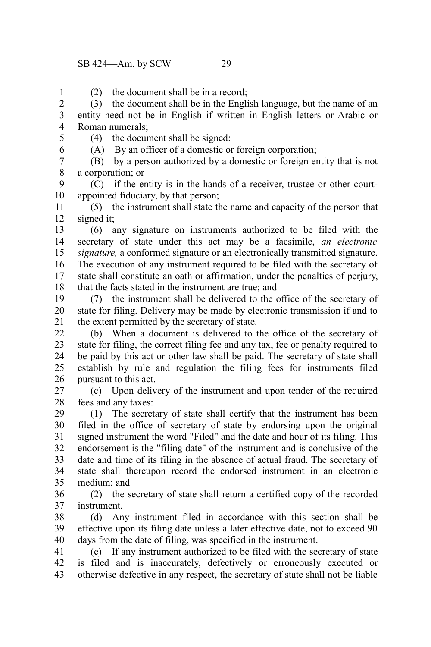(2) the document shall be in a record;

(3) the document shall be in the English language, but the name of an entity need not be in English if written in English letters or Arabic or Roman numerals;  $\mathcal{L}$ 3 4

5 6

1

(4) the document shall be signed:

(A) By an officer of a domestic or foreign corporation;

(B) by a person authorized by a domestic or foreign entity that is not a corporation; or 7 8

(C) if the entity is in the hands of a receiver, trustee or other courtappointed fiduciary, by that person; 9 10

(5) the instrument shall state the name and capacity of the person that signed it; 11 12

(6) any signature on instruments authorized to be filed with the secretary of state under this act may be a facsimile, *an electronic signature,* a conformed signature or an electronically transmitted signature. The execution of any instrument required to be filed with the secretary of state shall constitute an oath or affirmation, under the penalties of perjury, that the facts stated in the instrument are true; and 13 14 15 16 17 18

(7) the instrument shall be delivered to the office of the secretary of state for filing. Delivery may be made by electronic transmission if and to the extent permitted by the secretary of state. 19 20 21

(b) When a document is delivered to the office of the secretary of state for filing, the correct filing fee and any tax, fee or penalty required to be paid by this act or other law shall be paid. The secretary of state shall establish by rule and regulation the filing fees for instruments filed pursuant to this act. 22 23 24 25 26

(c) Upon delivery of the instrument and upon tender of the required fees and any taxes: 27 28

(1) The secretary of state shall certify that the instrument has been filed in the office of secretary of state by endorsing upon the original signed instrument the word "Filed" and the date and hour of its filing. This endorsement is the "filing date" of the instrument and is conclusive of the date and time of its filing in the absence of actual fraud. The secretary of state shall thereupon record the endorsed instrument in an electronic medium; and 29 30 31 32 33 34 35

(2) the secretary of state shall return a certified copy of the recorded instrument. 36 37

(d) Any instrument filed in accordance with this section shall be effective upon its filing date unless a later effective date, not to exceed 90 days from the date of filing, was specified in the instrument. 38 39 40

(e) If any instrument authorized to be filed with the secretary of state is filed and is inaccurately, defectively or erroneously executed or otherwise defective in any respect, the secretary of state shall not be liable 41 42 43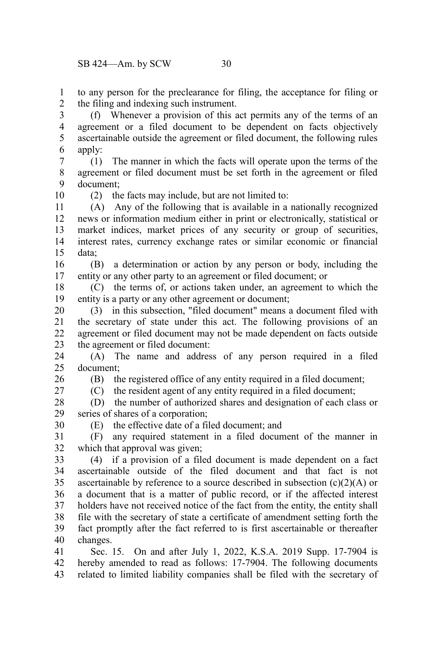to any person for the preclearance for filing, the acceptance for filing or the filing and indexing such instrument. 1  $\mathcal{L}$ 

(f) Whenever a provision of this act permits any of the terms of an agreement or a filed document to be dependent on facts objectively ascertainable outside the agreement or filed document, the following rules apply: 3 4 5 6

(1) The manner in which the facts will operate upon the terms of the agreement or filed document must be set forth in the agreement or filed document; 7 8 9

10

(2) the facts may include, but are not limited to:

(A) Any of the following that is available in a nationally recognized news or information medium either in print or electronically, statistical or market indices, market prices of any security or group of securities, interest rates, currency exchange rates or similar economic or financial data; 11 12 13 14 15

(B) a determination or action by any person or body, including the entity or any other party to an agreement or filed document; or 16 17

(C) the terms of, or actions taken under, an agreement to which the entity is a party or any other agreement or document; 18 19

(3) in this subsection, "filed document" means a document filed with the secretary of state under this act. The following provisions of an agreement or filed document may not be made dependent on facts outside the agreement or filed document: 20 21 22 23

(A) The name and address of any person required in a filed document; 24  $25$ 

26

(B) the registered office of any entity required in a filed document;

27

(C) the resident agent of any entity required in a filed document;

(D) the number of authorized shares and designation of each class or series of shares of a corporation; 28 29

30

(E) the effective date of a filed document; and

(F) any required statement in a filed document of the manner in which that approval was given; 31 32

(4) if a provision of a filed document is made dependent on a fact ascertainable outside of the filed document and that fact is not ascertainable by reference to a source described in subsection  $(c)(2)(A)$  or a document that is a matter of public record, or if the affected interest holders have not received notice of the fact from the entity, the entity shall file with the secretary of state a certificate of amendment setting forth the fact promptly after the fact referred to is first ascertainable or thereafter changes. 33 34 35 36 37 38 39 40

Sec. 15. On and after July 1, 2022, K.S.A. 2019 Supp. 17-7904 is hereby amended to read as follows: 17-7904. The following documents related to limited liability companies shall be filed with the secretary of 41 42 43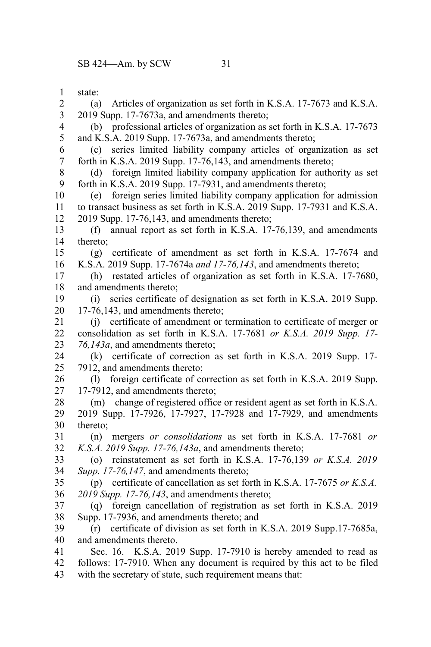state: (a) Articles of organization as set forth in K.S.A. 17-7673 and K.S.A. 2019 Supp. 17-7673a, and amendments thereto; (b) professional articles of organization as set forth in K.S.A. 17-7673 and K.S.A. 2019 Supp. 17-7673a, and amendments thereto; (c) series limited liability company articles of organization as set forth in K.S.A. 2019 Supp. 17-76,143, and amendments thereto; (d) foreign limited liability company application for authority as set forth in K.S.A. 2019 Supp. 17-7931, and amendments thereto; (e) foreign series limited liability company application for admission to transact business as set forth in K.S.A. 2019 Supp. 17-7931 and K.S.A. 2019 Supp. 17-76,143, and amendments thereto; (f) annual report as set forth in K.S.A. 17-76,139, and amendments thereto; (g) certificate of amendment as set forth in K.S.A. 17-7674 and K.S.A. 2019 Supp. 17-7674a *and 17-76,143*, and amendments thereto; (h) restated articles of organization as set forth in K.S.A. 17-7680, and amendments thereto; (i) series certificate of designation as set forth in K.S.A. 2019 Supp. 17-76,143, and amendments thereto; (j) certificate of amendment or termination to certificate of merger or consolidation as set forth in K.S.A. 17-7681 *or K.S.A. 2019 Supp. 17- 76,143a*, and amendments thereto; (k) certificate of correction as set forth in K.S.A. 2019 Supp. 17- 7912, and amendments thereto; (l) foreign certificate of correction as set forth in K.S.A. 2019 Supp. 17-7912, and amendments thereto; (m) change of registered office or resident agent as set forth in K.S.A. 2019 Supp. 17-7926, 17-7927, 17-7928 and 17-7929, and amendments thereto; (n) mergers *or consolidations* as set forth in K.S.A. 17-7681 *or K.S.A. 2019 Supp. 17-76,143a*, and amendments thereto; (o) reinstatement as set forth in K.S.A. 17-76,139 *or K.S.A. 2019 Supp. 17-76,147*, and amendments thereto; (p) certificate of cancellation as set forth in K.S.A. 17-7675 *or K.S.A. 2019 Supp. 17-76,143*, and amendments thereto; (q) foreign cancellation of registration as set forth in K.S.A. 2019 Supp. 17-7936, and amendments thereto; and (r) certificate of division as set forth in K.S.A. 2019 Supp.17-7685a, and amendments thereto. Sec. 16. K.S.A. 2019 Supp. 17-7910 is hereby amended to read as follows: 17-7910. When any document is required by this act to be filed with the secretary of state, such requirement means that: 1 2 3 4 5 6 7 8 9 10 11 12 13 14 15 16 17 18 19 20 21 22 23 24 25 26 27 28 29 30 31 32 33 34 35 36 37 38 39 40 41 42 43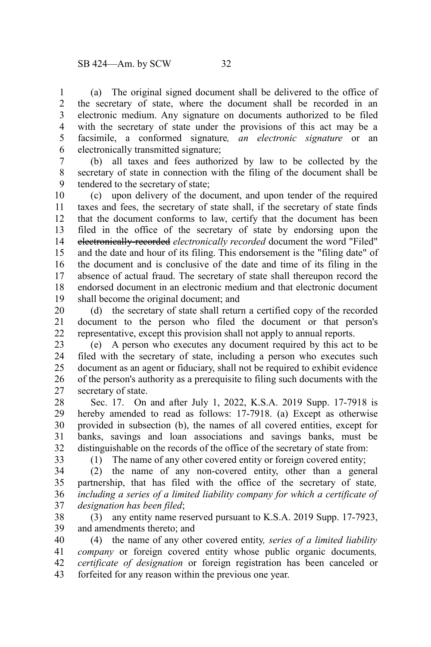(a) The original signed document shall be delivered to the office of the secretary of state, where the document shall be recorded in an electronic medium. Any signature on documents authorized to be filed with the secretary of state under the provisions of this act may be a facsimile, a conformed signature*, an electronic signature* or an electronically transmitted signature; 1 2 3 4 5 6

(b) all taxes and fees authorized by law to be collected by the secretary of state in connection with the filing of the document shall be tendered to the secretary of state; 7 8 9

(c) upon delivery of the document, and upon tender of the required taxes and fees, the secretary of state shall, if the secretary of state finds that the document conforms to law, certify that the document has been filed in the office of the secretary of state by endorsing upon the electronically-recorded *electronically recorded* document the word "Filed" and the date and hour of its filing. This endorsement is the "filing date" of the document and is conclusive of the date and time of its filing in the absence of actual fraud. The secretary of state shall thereupon record the endorsed document in an electronic medium and that electronic document shall become the original document; and 10 11 12 13 14 15 16 17 18 19

(d) the secretary of state shall return a certified copy of the recorded document to the person who filed the document or that person's representative, except this provision shall not apply to annual reports. 20 21 22

(e) A person who executes any document required by this act to be filed with the secretary of state, including a person who executes such document as an agent or fiduciary, shall not be required to exhibit evidence of the person's authority as a prerequisite to filing such documents with the secretary of state. 23 24 25 26 27

Sec. 17. On and after July 1, 2022, K.S.A. 2019 Supp. 17-7918 is hereby amended to read as follows: 17-7918. (a) Except as otherwise provided in subsection (b), the names of all covered entities, except for banks, savings and loan associations and savings banks, must be distinguishable on the records of the office of the secretary of state from: 28 29 30 31 32

33

(1) The name of any other covered entity or foreign covered entity;

(2) the name of any non-covered entity, other than a general partnership, that has filed with the office of the secretary of state*, including a series of a limited liability company for which a certificate of designation has been filed*; 34 35 36 37

(3) any entity name reserved pursuant to K.S.A. 2019 Supp. 17-7923, and amendments thereto; and 38 39

(4) the name of any other covered entity*, series of a limited liability company* or foreign covered entity whose public organic documents*, certificate of designation* or foreign registration has been canceled or forfeited for any reason within the previous one year. 40 41 42 43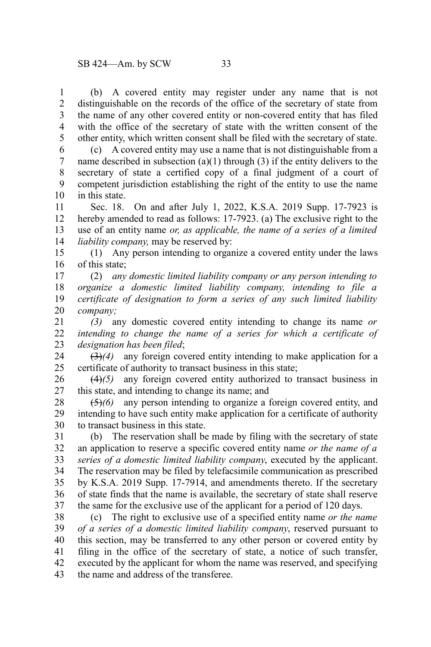(b) A covered entity may register under any name that is not distinguishable on the records of the office of the secretary of state from the name of any other covered entity or non-covered entity that has filed with the office of the secretary of state with the written consent of the other entity, which written consent shall be filed with the secretary of state. 1 2 3 4 5

(c) A covered entity may use a name that is not distinguishable from a name described in subsection (a)(1) through (3) if the entity delivers to the secretary of state a certified copy of a final judgment of a court of competent jurisdiction establishing the right of the entity to use the name in this state. 6 7 8 9 10

Sec. 18. On and after July 1, 2022, K.S.A. 2019 Supp. 17-7923 is hereby amended to read as follows: 17-7923. (a) The exclusive right to the use of an entity name *or, as applicable, the name of a series of a limited liability company,* may be reserved by: 11 12 13 14

(1) Any person intending to organize a covered entity under the laws of this state; 15 16

(2) *any domestic limited liability company or any person intending to organize a domestic limited liability company, intending to file a certificate of designation to form a series of any such limited liability company;* 17 18 19 20

*(3)* any domestic covered entity intending to change its name *or intending to change the name of a series for which a certificate of designation has been filed*; 21 22 23

(3)*(4)* any foreign covered entity intending to make application for a certificate of authority to transact business in this state; 24 25

(4)*(5)* any foreign covered entity authorized to transact business in this state, and intending to change its name; and 26 27

(5)*(6)* any person intending to organize a foreign covered entity, and intending to have such entity make application for a certificate of authority to transact business in this state. 28 29 30

(b) The reservation shall be made by filing with the secretary of state an application to reserve a specific covered entity name *or the name of a series of a domestic limited liability company*, executed by the applicant. The reservation may be filed by telefacsimile communication as prescribed by K.S.A. 2019 Supp. 17-7914, and amendments thereto. If the secretary of state finds that the name is available, the secretary of state shall reserve the same for the exclusive use of the applicant for a period of 120 days. 31 32 33 34 35 36 37

(c) The right to exclusive use of a specified entity name *or the name of a series of a domestic limited liability company*, reserved pursuant to this section, may be transferred to any other person or covered entity by filing in the office of the secretary of state, a notice of such transfer, executed by the applicant for whom the name was reserved, and specifying the name and address of the transferee. 38 39 40 41 42 43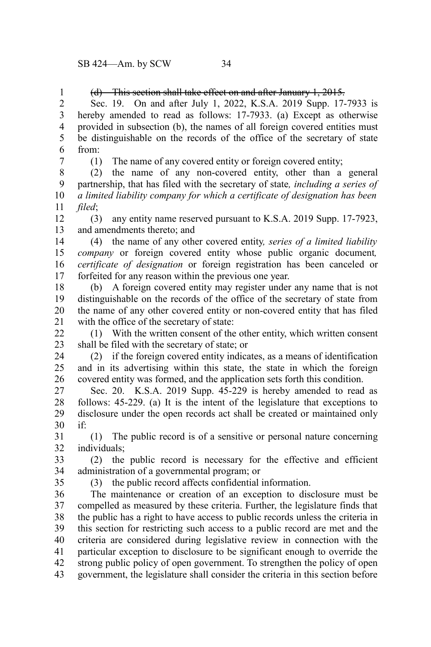(d) This section shall take effect on and after January 1, 2015.

Sec. 19. On and after July 1, 2022, K.S.A. 2019 Supp. 17-7933 is hereby amended to read as follows: 17-7933. (a) Except as otherwise provided in subsection (b), the names of all foreign covered entities must be distinguishable on the records of the office of the secretary of state from: 2 3 4 5 6

7

1

(1) The name of any covered entity or foreign covered entity;

(2) the name of any non-covered entity, other than a general partnership, that has filed with the secretary of state*, including a series of a limited liability company for which a certificate of designation has been filed*; 8 9 10 11

(3) any entity name reserved pursuant to K.S.A. 2019 Supp. 17-7923, and amendments thereto; and 12 13

(4) the name of any other covered entity*, series of a limited liability company* or foreign covered entity whose public organic document*, certificate of designation* or foreign registration has been canceled or forfeited for any reason within the previous one year. 14 15 16 17

(b) A foreign covered entity may register under any name that is not distinguishable on the records of the office of the secretary of state from the name of any other covered entity or non-covered entity that has filed with the office of the secretary of state: 18 19 20 21

(1) With the written consent of the other entity, which written consent shall be filed with the secretary of state; or 22 23

(2) if the foreign covered entity indicates, as a means of identification and in its advertising within this state, the state in which the foreign covered entity was formed, and the application sets forth this condition. 24 25 26

Sec. 20. K.S.A. 2019 Supp. 45-229 is hereby amended to read as follows: 45-229. (a) It is the intent of the legislature that exceptions to disclosure under the open records act shall be created or maintained only if: 27 28 29 30

(1) The public record is of a sensitive or personal nature concerning individuals; 31 32

(2) the public record is necessary for the effective and efficient administration of a governmental program; or 33 34

35

(3) the public record affects confidential information.

The maintenance or creation of an exception to disclosure must be compelled as measured by these criteria. Further, the legislature finds that the public has a right to have access to public records unless the criteria in this section for restricting such access to a public record are met and the criteria are considered during legislative review in connection with the particular exception to disclosure to be significant enough to override the strong public policy of open government. To strengthen the policy of open government, the legislature shall consider the criteria in this section before 36 37 38 39 40 41 42 43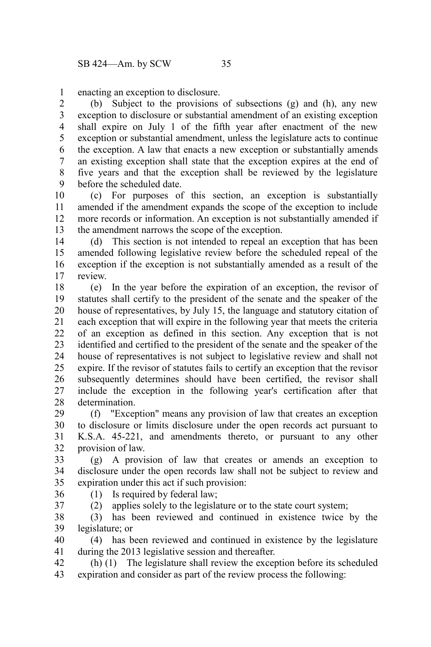enacting an exception to disclosure. 1

(b) Subject to the provisions of subsections (g) and (h), any new exception to disclosure or substantial amendment of an existing exception shall expire on July 1 of the fifth year after enactment of the new exception or substantial amendment, unless the legislature acts to continue the exception. A law that enacts a new exception or substantially amends an existing exception shall state that the exception expires at the end of five years and that the exception shall be reviewed by the legislature before the scheduled date. 2 3 4 5 6 7 8 9

(c) For purposes of this section, an exception is substantially amended if the amendment expands the scope of the exception to include more records or information. An exception is not substantially amended if the amendment narrows the scope of the exception. 10 11 12 13

(d) This section is not intended to repeal an exception that has been amended following legislative review before the scheduled repeal of the exception if the exception is not substantially amended as a result of the review. 14 15 16 17

(e) In the year before the expiration of an exception, the revisor of statutes shall certify to the president of the senate and the speaker of the house of representatives, by July 15, the language and statutory citation of each exception that will expire in the following year that meets the criteria of an exception as defined in this section. Any exception that is not identified and certified to the president of the senate and the speaker of the house of representatives is not subject to legislative review and shall not expire. If the revisor of statutes fails to certify an exception that the revisor subsequently determines should have been certified, the revisor shall include the exception in the following year's certification after that determination. 18 19 20 21 22 23 24 25 26 27 28

(f) "Exception" means any provision of law that creates an exception to disclosure or limits disclosure under the open records act pursuant to K.S.A. 45-221, and amendments thereto, or pursuant to any other provision of law. 29 30 31 32

(g) A provision of law that creates or amends an exception to disclosure under the open records law shall not be subject to review and expiration under this act if such provision: 33 34 35

36 37 (1) Is required by federal law;

(2) applies solely to the legislature or to the state court system;

(3) has been reviewed and continued in existence twice by the legislature; or 38 39

(4) has been reviewed and continued in existence by the legislature during the 2013 legislative session and thereafter. 40 41

(h) (1) The legislature shall review the exception before its scheduled expiration and consider as part of the review process the following: 42 43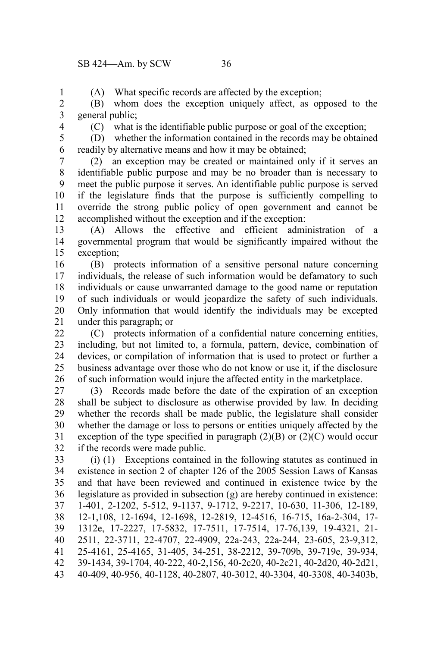(A) What specific records are affected by the exception;

(B) whom does the exception uniquely affect, as opposed to the general public; 2 3

4

1

(C) what is the identifiable public purpose or goal of the exception;

(D) whether the information contained in the records may be obtained readily by alternative means and how it may be obtained; 5 6

(2) an exception may be created or maintained only if it serves an identifiable public purpose and may be no broader than is necessary to meet the public purpose it serves. An identifiable public purpose is served if the legislature finds that the purpose is sufficiently compelling to override the strong public policy of open government and cannot be accomplished without the exception and if the exception: 7 8 9 10 11 12

(A) Allows the effective and efficient administration of a governmental program that would be significantly impaired without the exception; 13 14 15

(B) protects information of a sensitive personal nature concerning individuals, the release of such information would be defamatory to such individuals or cause unwarranted damage to the good name or reputation of such individuals or would jeopardize the safety of such individuals. Only information that would identify the individuals may be excepted under this paragraph; or 16 17 18 19 20 21

(C) protects information of a confidential nature concerning entities, including, but not limited to, a formula, pattern, device, combination of devices, or compilation of information that is used to protect or further a business advantage over those who do not know or use it, if the disclosure of such information would injure the affected entity in the marketplace. 22 23 24 25 26

(3) Records made before the date of the expiration of an exception shall be subject to disclosure as otherwise provided by law. In deciding whether the records shall be made public, the legislature shall consider whether the damage or loss to persons or entities uniquely affected by the exception of the type specified in paragraph  $(2)(B)$  or  $(2)(C)$  would occur if the records were made public. 27 28 29 30 31 32

(i) (1) Exceptions contained in the following statutes as continued in existence in section 2 of chapter 126 of the 2005 Session Laws of Kansas and that have been reviewed and continued in existence twice by the legislature as provided in subsection (g) are hereby continued in existence: 1-401, 2-1202, 5-512, 9-1137, 9-1712, 9-2217, 10-630, 11-306, 12-189, 12-1,108, 12-1694, 12-1698, 12-2819, 12-4516, 16-715, 16a-2-304, 17- 1312e, 17-2227, 17-5832, 17-7511, 17-7514, 17-76,139, 19-4321, 21- 2511, 22-3711, 22-4707, 22-4909, 22a-243, 22a-244, 23-605, 23-9,312, 25-4161, 25-4165, 31-405, 34-251, 38-2212, 39-709b, 39-719e, 39-934, 39-1434, 39-1704, 40-222, 40-2,156, 40-2c20, 40-2c21, 40-2d20, 40-2d21, 40-409, 40-956, 40-1128, 40-2807, 40-3012, 40-3304, 40-3308, 40-3403b, 33 34 35 36 37 38 39 40 41 42 43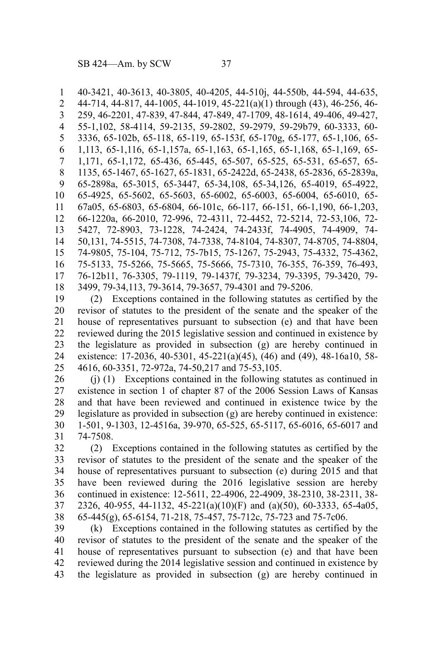40-3421, 40-3613, 40-3805, 40-4205, 44-510j, 44-550b, 44-594, 44-635, 44-714, 44-817, 44-1005, 44-1019, 45-221(a)(1) through (43), 46-256, 46- 259, 46-2201, 47-839, 47-844, 47-849, 47-1709, 48-1614, 49-406, 49-427, 55-1,102, 58-4114, 59-2135, 59-2802, 59-2979, 59-29b79, 60-3333, 60- 3336, 65-102b, 65-118, 65-119, 65-153f, 65-170g, 65-177, 65-1,106, 65- 1,113, 65-1,116, 65-1,157a, 65-1,163, 65-1,165, 65-1,168, 65-1,169, 65- 1,171, 65-1,172, 65-436, 65-445, 65-507, 65-525, 65-531, 65-657, 65- 1135, 65-1467, 65-1627, 65-1831, 65-2422d, 65-2438, 65-2836, 65-2839a, 65-2898a, 65-3015, 65-3447, 65-34,108, 65-34,126, 65-4019, 65-4922, 65-4925, 65-5602, 65-5603, 65-6002, 65-6003, 65-6004, 65-6010, 65- 67a05, 65-6803, 65-6804, 66-101c, 66-117, 66-151, 66-1,190, 66-1,203, 66-1220a, 66-2010, 72-996, 72-4311, 72-4452, 72-5214, 72-53,106, 72- 5427, 72-8903, 73-1228, 74-2424, 74-2433f, 74-4905, 74-4909, 74- 50,131, 74-5515, 74-7308, 74-7338, 74-8104, 74-8307, 74-8705, 74-8804, 74-9805, 75-104, 75-712, 75-7b15, 75-1267, 75-2943, 75-4332, 75-4362, 75-5133, 75-5266, 75-5665, 75-5666, 75-7310, 76-355, 76-359, 76-493, 76-12b11, 76-3305, 79-1119, 79-1437f, 79-3234, 79-3395, 79-3420, 79- 3499, 79-34,113, 79-3614, 79-3657, 79-4301 and 79-5206. 1 2 3 4 5 6 7 8 9 10 11 12 13 14 15 16 17 18

(2) Exceptions contained in the following statutes as certified by the revisor of statutes to the president of the senate and the speaker of the house of representatives pursuant to subsection (e) and that have been reviewed during the 2015 legislative session and continued in existence by the legislature as provided in subsection (g) are hereby continued in existence: 17-2036, 40-5301, 45-221(a)(45), (46) and (49), 48-16a10, 58- 4616, 60-3351, 72-972a, 74-50,217 and 75-53,105. 19 20 21 22 23 24 25

(j) (1) Exceptions contained in the following statutes as continued in existence in section 1 of chapter 87 of the 2006 Session Laws of Kansas and that have been reviewed and continued in existence twice by the legislature as provided in subsection (g) are hereby continued in existence: 1-501, 9-1303, 12-4516a, 39-970, 65-525, 65-5117, 65-6016, 65-6017 and 74-7508. 26 27 28 29 30 31

(2) Exceptions contained in the following statutes as certified by the revisor of statutes to the president of the senate and the speaker of the house of representatives pursuant to subsection (e) during 2015 and that have been reviewed during the 2016 legislative session are hereby continued in existence: 12-5611, 22-4906, 22-4909, 38-2310, 38-2311, 38- 2326, 40-955, 44-1132, 45-221(a)(10)(F) and (a)(50), 60-3333, 65-4a05, 65-445(g), 65-6154, 71-218, 75-457, 75-712c, 75-723 and 75-7c06. 32 33 34 35 36 37 38

(k) Exceptions contained in the following statutes as certified by the revisor of statutes to the president of the senate and the speaker of the house of representatives pursuant to subsection (e) and that have been reviewed during the 2014 legislative session and continued in existence by the legislature as provided in subsection (g) are hereby continued in 39 40 41 42 43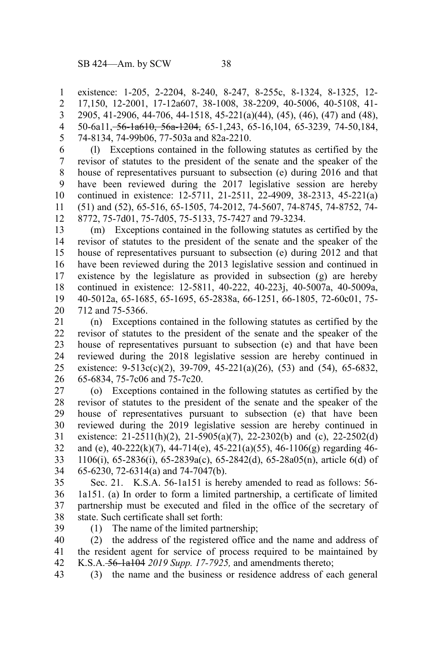existence: 1-205, 2-2204, 8-240, 8-247, 8-255c, 8-1324, 8-1325, 12- 17,150, 12-2001, 17-12a607, 38-1008, 38-2209, 40-5006, 40-5108, 41- 2905, 41-2906, 44-706, 44-1518, 45-221(a)(44), (45), (46), (47) and (48), 50-6a11, 56-1a610, 56a-1204, 65-1,243, 65-16,104, 65-3239, 74-50,184, 74-8134, 74-99b06, 77-503a and 82a-2210. 1 2 3 4 5

(l) Exceptions contained in the following statutes as certified by the revisor of statutes to the president of the senate and the speaker of the house of representatives pursuant to subsection (e) during 2016 and that have been reviewed during the 2017 legislative session are hereby continued in existence: 12-5711, 21-2511, 22-4909, 38-2313, 45-221(a) (51) and (52), 65-516, 65-1505, 74-2012, 74-5607, 74-8745, 74-8752, 74- 8772, 75-7d01, 75-7d05, 75-5133, 75-7427 and 79-3234. 6 7 8 9 10 11 12

(m) Exceptions contained in the following statutes as certified by the revisor of statutes to the president of the senate and the speaker of the house of representatives pursuant to subsection (e) during 2012 and that have been reviewed during the 2013 legislative session and continued in existence by the legislature as provided in subsection (g) are hereby continued in existence: 12-5811, 40-222, 40-223j, 40-5007a, 40-5009a, 40-5012a, 65-1685, 65-1695, 65-2838a, 66-1251, 66-1805, 72-60c01, 75- 712 and 75-5366. 13 14 15 16 17 18 19 20

(n) Exceptions contained in the following statutes as certified by the revisor of statutes to the president of the senate and the speaker of the house of representatives pursuant to subsection (e) and that have been reviewed during the 2018 legislative session are hereby continued in existence:  $9-513c(c)(2)$ ,  $39-709$ ,  $45-221(a)(26)$ ,  $(53)$  and  $(54)$ ,  $65-6832$ , 65-6834, 75-7c06 and 75-7c20. 21 22 23 24 25 26

(o) Exceptions contained in the following statutes as certified by the revisor of statutes to the president of the senate and the speaker of the house of representatives pursuant to subsection (e) that have been reviewed during the 2019 legislative session are hereby continued in existence:  $21-2511(h)(2)$ ,  $21-5905(a)(7)$ ,  $22-2302(b)$  and (c),  $22-2502(d)$ and (e),  $40-222(k)(7)$ ,  $44-714(e)$ ,  $45-221(a)(55)$ ,  $46-1106(g)$  regarding  $46-$ 1106(i), 65-2836(i), 65-2839a(c), 65-2842(d), 65-28a05(n), article 6(d) of 65-6230, 72-6314(a) and 74-7047(b). 27 28 29 30 31 32 33 34

Sec. 21. K.S.A. 56-1a151 is hereby amended to read as follows: 56- 1a151. (a) In order to form a limited partnership, a certificate of limited partnership must be executed and filed in the office of the secretary of state. Such certificate shall set forth: 35 36 37 38

39

(1) The name of the limited partnership;

(2) the address of the registered office and the name and address of the resident agent for service of process required to be maintained by K.S.A. 56-1a104 *2019 Supp. 17-7925,* and amendments thereto; 40 41 42

(3) the name and the business or residence address of each general 43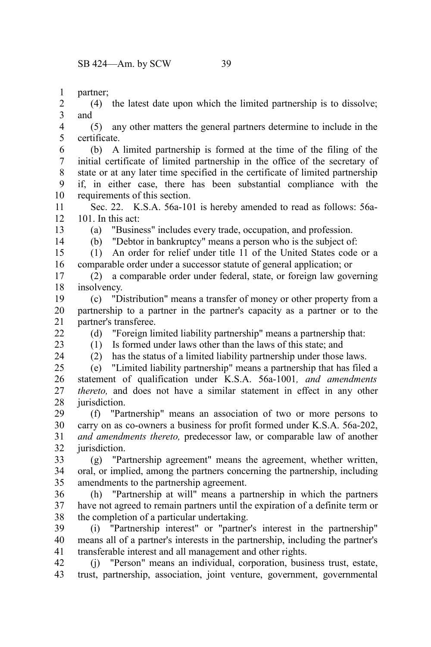partner; 1

(4) the latest date upon which the limited partnership is to dissolve; and 2 3

(5) any other matters the general partners determine to include in the certificate. 4 5

(b) A limited partnership is formed at the time of the filing of the initial certificate of limited partnership in the office of the secretary of state or at any later time specified in the certificate of limited partnership if, in either case, there has been substantial compliance with the requirements of this section. 6 7 8 9 10

Sec. 22. K.S.A. 56a-101 is hereby amended to read as follows: 56a-101. In this act: 11 12

13

14

(a) "Business" includes every trade, occupation, and profession.

(b) "Debtor in bankruptcy" means a person who is the subject of:

(1) An order for relief under title 11 of the United States code or a comparable order under a successor statute of general application; or 15 16

(2) a comparable order under federal, state, or foreign law governing insolvency. 17 18

(c) "Distribution" means a transfer of money or other property from a partnership to a partner in the partner's capacity as a partner or to the partner's transferee. 19 20 21

(d) "Foreign limited liability partnership" means a partnership that:

 $22$ 23

(1) Is formed under laws other than the laws of this state; and

24

(2) has the status of a limited liability partnership under those laws.

(e) "Limited liability partnership" means a partnership that has filed a statement of qualification under K.S.A. 56a-1001*, and amendments thereto,* and does not have a similar statement in effect in any other jurisdiction.  $25$ 26 27 28

(f) "Partnership" means an association of two or more persons to carry on as co-owners a business for profit formed under K.S.A. 56a-202, *and amendments thereto,* predecessor law, or comparable law of another jurisdiction. 29 30 31 32

(g) "Partnership agreement" means the agreement, whether written, oral, or implied, among the partners concerning the partnership, including amendments to the partnership agreement. 33 34 35

(h) "Partnership at will" means a partnership in which the partners have not agreed to remain partners until the expiration of a definite term or the completion of a particular undertaking. 36 37 38

(i) "Partnership interest" or "partner's interest in the partnership" means all of a partner's interests in the partnership, including the partner's transferable interest and all management and other rights. 39 40 41

(j) "Person" means an individual, corporation, business trust, estate, trust, partnership, association, joint venture, government, governmental 42 43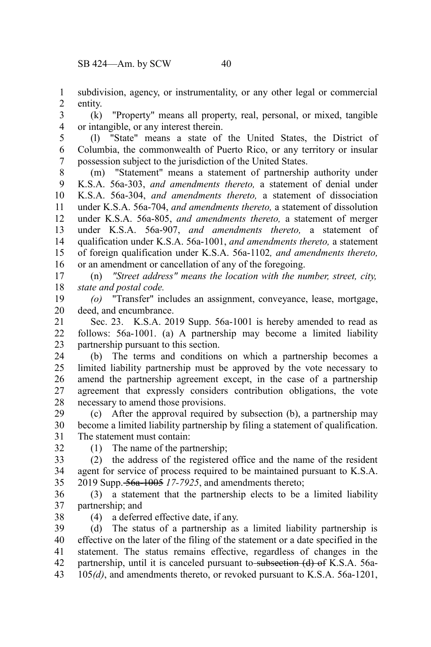subdivision, agency, or instrumentality, or any other legal or commercial entity. 1 2

(k) "Property" means all property, real, personal, or mixed, tangible or intangible, or any interest therein. 3 4

(l) "State" means a state of the United States, the District of Columbia, the commonwealth of Puerto Rico, or any territory or insular possession subject to the jurisdiction of the United States. 5 6 7

(m) "Statement" means a statement of partnership authority under K.S.A. 56a-303, *and amendments thereto,* a statement of denial under K.S.A. 56a-304, *and amendments thereto,* a statement of dissociation under K.S.A. 56a-704, *and amendments thereto,* a statement of dissolution under K.S.A. 56a-805, *and amendments thereto,* a statement of merger under K.S.A. 56a-907, *and amendments thereto,* a statement of qualification under K.S.A. 56a-1001, *and amendments thereto,* a statement of foreign qualification under K.S.A. 56a-1102*, and amendments thereto,* or an amendment or cancellation of any of the foregoing. 8 9 10 11 12 13 14 15 16

(n) *"Street address" means the location with the number, street, city, state and postal code.* 17 18

*(o)* "Transfer" includes an assignment, conveyance, lease, mortgage, deed, and encumbrance. 19 20

Sec. 23. K.S.A. 2019 Supp. 56a-1001 is hereby amended to read as follows: 56a-1001. (a) A partnership may become a limited liability partnership pursuant to this section. 21 22 23

(b) The terms and conditions on which a partnership becomes a limited liability partnership must be approved by the vote necessary to amend the partnership agreement except, in the case of a partnership agreement that expressly considers contribution obligations, the vote necessary to amend those provisions. 24 25 26 27 28

(c) After the approval required by subsection (b), a partnership may become a limited liability partnership by filing a statement of qualification. The statement must contain: 29 30 31

32

(1) The name of the partnership;

(2) the address of the registered office and the name of the resident agent for service of process required to be maintained pursuant to K.S.A. 2019 Supp. 56a-1005 *17-7925*, and amendments thereto; 33 34 35

(3) a statement that the partnership elects to be a limited liability partnership; and 36 37

38

(4) a deferred effective date, if any.

(d) The status of a partnership as a limited liability partnership is effective on the later of the filing of the statement or a date specified in the statement. The status remains effective, regardless of changes in the partnership, until it is canceled pursuant to subsection (d) of K.S.A. 56a-105*(d)*, and amendments thereto, or revoked pursuant to K.S.A. 56a-1201, 39 40 41 42 43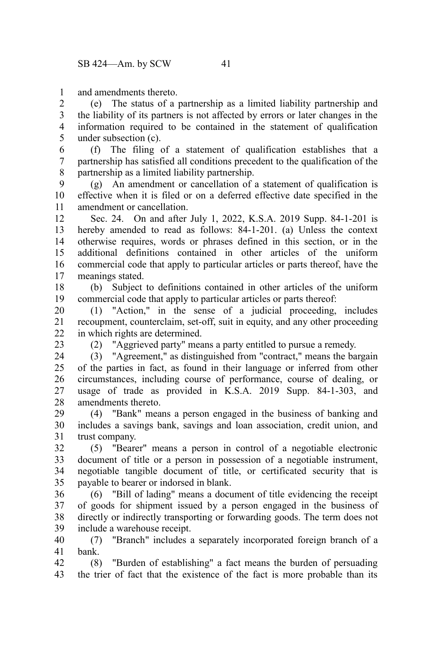and amendments thereto. 1

(e) The status of a partnership as a limited liability partnership and the liability of its partners is not affected by errors or later changes in the information required to be contained in the statement of qualification under subsection (c). 2 3 4 5

(f) The filing of a statement of qualification establishes that a partnership has satisfied all conditions precedent to the qualification of the partnership as a limited liability partnership. 6 7 8

(g) An amendment or cancellation of a statement of qualification is effective when it is filed or on a deferred effective date specified in the amendment or cancellation. 9 10 11

Sec. 24. On and after July 1, 2022, K.S.A. 2019 Supp. 84-1-201 is hereby amended to read as follows: 84-1-201. (a) Unless the context otherwise requires, words or phrases defined in this section, or in the additional definitions contained in other articles of the uniform commercial code that apply to particular articles or parts thereof, have the meanings stated. 12 13 14 15 16 17

(b) Subject to definitions contained in other articles of the uniform commercial code that apply to particular articles or parts thereof: 18 19

(1) "Action," in the sense of a judicial proceeding, includes recoupment, counterclaim, set-off, suit in equity, and any other proceeding in which rights are determined. 20 21 22

23

(2) "Aggrieved party" means a party entitled to pursue a remedy.

(3) "Agreement," as distinguished from "contract," means the bargain of the parties in fact, as found in their language or inferred from other circumstances, including course of performance, course of dealing, or usage of trade as provided in K.S.A. 2019 Supp. 84-1-303, and amendments thereto. 24 25 26 27 28

(4) "Bank" means a person engaged in the business of banking and includes a savings bank, savings and loan association, credit union, and trust company. 29 30 31

(5) "Bearer" means a person in control of a negotiable electronic document of title or a person in possession of a negotiable instrument, negotiable tangible document of title, or certificated security that is payable to bearer or indorsed in blank. 32 33 34 35

(6) "Bill of lading" means a document of title evidencing the receipt of goods for shipment issued by a person engaged in the business of directly or indirectly transporting or forwarding goods. The term does not include a warehouse receipt. 36 37 38 39

(7) "Branch" includes a separately incorporated foreign branch of a bank. 40 41

(8) "Burden of establishing" a fact means the burden of persuading the trier of fact that the existence of the fact is more probable than its 42 43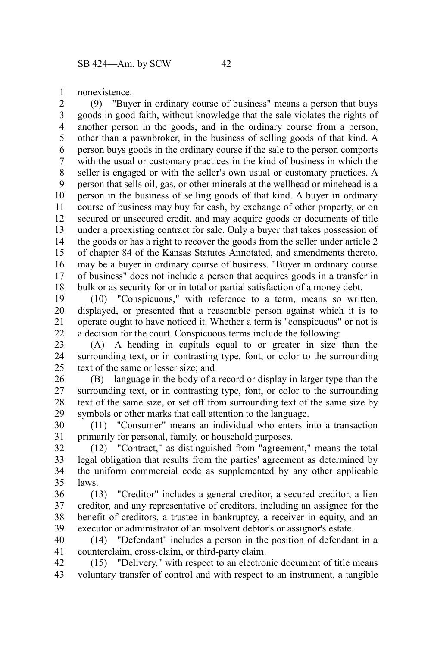nonexistence. 1

(9) "Buyer in ordinary course of business" means a person that buys goods in good faith, without knowledge that the sale violates the rights of another person in the goods, and in the ordinary course from a person, other than a pawnbroker, in the business of selling goods of that kind. A person buys goods in the ordinary course if the sale to the person comports with the usual or customary practices in the kind of business in which the seller is engaged or with the seller's own usual or customary practices. A person that sells oil, gas, or other minerals at the wellhead or minehead is a person in the business of selling goods of that kind. A buyer in ordinary course of business may buy for cash, by exchange of other property, or on secured or unsecured credit, and may acquire goods or documents of title under a preexisting contract for sale. Only a buyer that takes possession of the goods or has a right to recover the goods from the seller under article 2 of chapter 84 of the Kansas Statutes Annotated, and amendments thereto, may be a buyer in ordinary course of business. "Buyer in ordinary course of business" does not include a person that acquires goods in a transfer in bulk or as security for or in total or partial satisfaction of a money debt. 2 3 4 5 6 7 8 9 10 11 12 13 14 15 16 17 18

(10) "Conspicuous," with reference to a term, means so written, displayed, or presented that a reasonable person against which it is to operate ought to have noticed it. Whether a term is "conspicuous" or not is a decision for the court. Conspicuous terms include the following: 19 20 21 22

(A) A heading in capitals equal to or greater in size than the surrounding text, or in contrasting type, font, or color to the surrounding text of the same or lesser size; and 23 24 25

(B) language in the body of a record or display in larger type than the surrounding text, or in contrasting type, font, or color to the surrounding text of the same size, or set off from surrounding text of the same size by symbols or other marks that call attention to the language. 26 27 28 29

(11) "Consumer" means an individual who enters into a transaction primarily for personal, family, or household purposes. 30 31

(12) "Contract," as distinguished from "agreement," means the total legal obligation that results from the parties' agreement as determined by the uniform commercial code as supplemented by any other applicable laws. 32 33 34 35

(13) "Creditor" includes a general creditor, a secured creditor, a lien creditor, and any representative of creditors, including an assignee for the benefit of creditors, a trustee in bankruptcy, a receiver in equity, and an executor or administrator of an insolvent debtor's or assignor's estate. 36 37 38 39

(14) "Defendant" includes a person in the position of defendant in a counterclaim, cross-claim, or third-party claim. 40 41

(15) "Delivery," with respect to an electronic document of title means voluntary transfer of control and with respect to an instrument, a tangible 42 43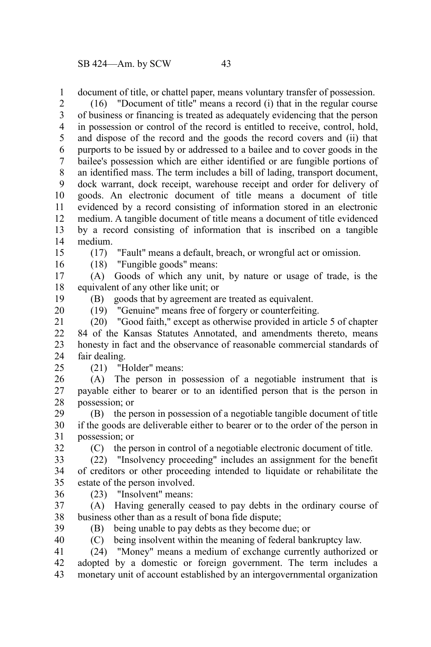document of title, or chattel paper, means voluntary transfer of possession. 1

(16) "Document of title" means a record (i) that in the regular course of business or financing is treated as adequately evidencing that the person in possession or control of the record is entitled to receive, control, hold, and dispose of the record and the goods the record covers and (ii) that purports to be issued by or addressed to a bailee and to cover goods in the bailee's possession which are either identified or are fungible portions of an identified mass. The term includes a bill of lading, transport document, dock warrant, dock receipt, warehouse receipt and order for delivery of goods. An electronic document of title means a document of title evidenced by a record consisting of information stored in an electronic medium. A tangible document of title means a document of title evidenced by a record consisting of information that is inscribed on a tangible medium. 2 3 4 5 6 7 8 9 10 11 12 13 14

15

(17) "Fault" means a default, breach, or wrongful act or omission.

16

(18) "Fungible goods" means:

(A) Goods of which any unit, by nature or usage of trade, is the equivalent of any other like unit; or 17 18

19 20 (B) goods that by agreement are treated as equivalent.

(19) "Genuine" means free of forgery or counterfeiting.

(20) "Good faith," except as otherwise provided in article 5 of chapter 84 of the Kansas Statutes Annotated, and amendments thereto, means honesty in fact and the observance of reasonable commercial standards of fair dealing. 21  $22$ 23 24

 $25$ 

(21) "Holder" means:

(A) The person in possession of a negotiable instrument that is payable either to bearer or to an identified person that is the person in possession; or 26 27 28

(B) the person in possession of a negotiable tangible document of title if the goods are deliverable either to bearer or to the order of the person in possession; or 29 30 31

(C) the person in control of a negotiable electronic document of title.

(22) "Insolvency proceeding" includes an assignment for the benefit of creditors or other proceeding intended to liquidate or rehabilitate the estate of the person involved. 33 34 35

36

32

(23) "Insolvent" means:

(A) Having generally ceased to pay debts in the ordinary course of business other than as a result of bona fide dispute; 37 38

39 40 (B) being unable to pay debts as they become due; or

(C) being insolvent within the meaning of federal bankruptcy law.

(24) "Money" means a medium of exchange currently authorized or adopted by a domestic or foreign government. The term includes a monetary unit of account established by an intergovernmental organization 41 42 43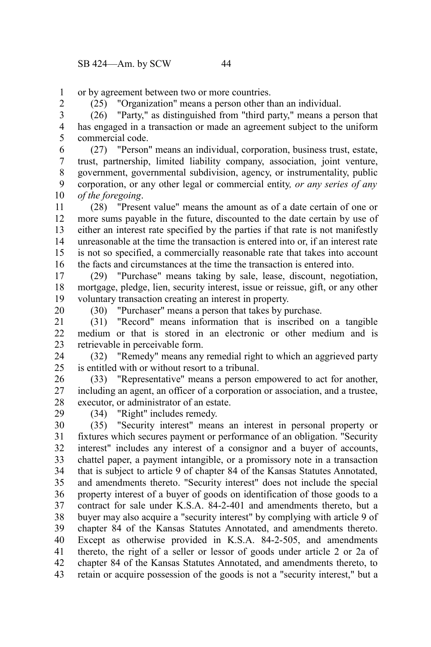or by agreement between two or more countries. 1

2

(25) "Organization" means a person other than an individual.

(26) "Party," as distinguished from "third party," means a person that has engaged in a transaction or made an agreement subject to the uniform commercial code. 3 4 5

(27) "Person" means an individual, corporation, business trust, estate, trust, partnership, limited liability company, association, joint venture, government, governmental subdivision, agency, or instrumentality, public corporation, or any other legal or commercial entity*, or any series of any of the foregoing*. 6 7 8 9 10

(28) "Present value" means the amount as of a date certain of one or more sums payable in the future, discounted to the date certain by use of either an interest rate specified by the parties if that rate is not manifestly unreasonable at the time the transaction is entered into or, if an interest rate is not so specified, a commercially reasonable rate that takes into account the facts and circumstances at the time the transaction is entered into. 11 12 13 14 15 16

(29) "Purchase" means taking by sale, lease, discount, negotiation, mortgage, pledge, lien, security interest, issue or reissue, gift, or any other voluntary transaction creating an interest in property. 17 18 19

20

(30) "Purchaser" means a person that takes by purchase.

(31) "Record" means information that is inscribed on a tangible medium or that is stored in an electronic or other medium and is retrievable in perceivable form. 21 22 23

(32) "Remedy" means any remedial right to which an aggrieved party is entitled with or without resort to a tribunal. 24 25

(33) "Representative" means a person empowered to act for another, including an agent, an officer of a corporation or association, and a trustee, executor, or administrator of an estate. 26 27 28

29

(34) "Right" includes remedy.

(35) "Security interest" means an interest in personal property or fixtures which secures payment or performance of an obligation. "Security interest" includes any interest of a consignor and a buyer of accounts, chattel paper, a payment intangible, or a promissory note in a transaction that is subject to article 9 of chapter 84 of the Kansas Statutes Annotated, and amendments thereto. "Security interest" does not include the special property interest of a buyer of goods on identification of those goods to a contract for sale under K.S.A. 84-2-401 and amendments thereto, but a buyer may also acquire a "security interest" by complying with article 9 of chapter 84 of the Kansas Statutes Annotated, and amendments thereto. Except as otherwise provided in K.S.A. 84-2-505, and amendments thereto, the right of a seller or lessor of goods under article 2 or 2a of chapter 84 of the Kansas Statutes Annotated, and amendments thereto, to retain or acquire possession of the goods is not a "security interest," but a 30 31 32 33 34 35 36 37 38 39 40 41 42 43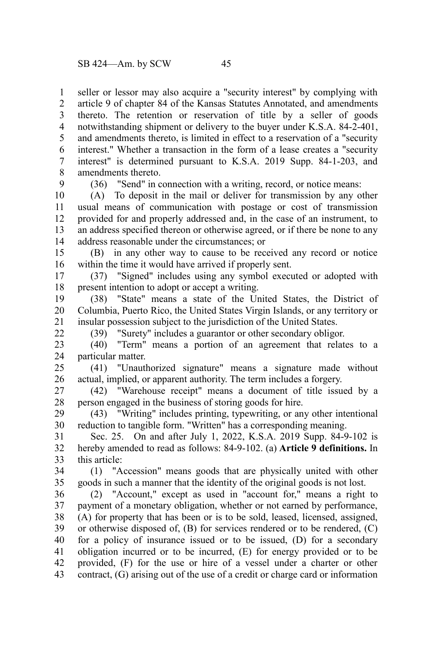seller or lessor may also acquire a "security interest" by complying with article 9 of chapter 84 of the Kansas Statutes Annotated, and amendments thereto. The retention or reservation of title by a seller of goods notwithstanding shipment or delivery to the buyer under K.S.A. 84-2-401, and amendments thereto, is limited in effect to a reservation of a "security interest." Whether a transaction in the form of a lease creates a "security interest" is determined pursuant to K.S.A. 2019 Supp. 84-1-203, and amendments thereto. 1 2 3 4 5 6 7 8

9

22

(36) "Send" in connection with a writing, record, or notice means:

(A) To deposit in the mail or deliver for transmission by any other usual means of communication with postage or cost of transmission provided for and properly addressed and, in the case of an instrument, to an address specified thereon or otherwise agreed, or if there be none to any address reasonable under the circumstances; or 10 11 12 13 14

(B) in any other way to cause to be received any record or notice within the time it would have arrived if properly sent. 15 16

(37) "Signed" includes using any symbol executed or adopted with present intention to adopt or accept a writing. 17 18

(38) "State" means a state of the United States, the District of Columbia, Puerto Rico, the United States Virgin Islands, or any territory or insular possession subject to the jurisdiction of the United States. 19 20 21

(39) "Surety" includes a guarantor or other secondary obligor.

(40) "Term" means a portion of an agreement that relates to a particular matter. 23 24

(41) "Unauthorized signature" means a signature made without actual, implied, or apparent authority. The term includes a forgery. 25 26

(42) "Warehouse receipt" means a document of title issued by a person engaged in the business of storing goods for hire. 27 28

(43) "Writing" includes printing, typewriting, or any other intentional reduction to tangible form. "Written" has a corresponding meaning. 29 30

Sec. 25. On and after July 1, 2022, K.S.A. 2019 Supp. 84-9-102 is hereby amended to read as follows: 84-9-102. (a) **Article 9 definitions.** In this article: 31 32 33

(1) "Accession" means goods that are physically united with other goods in such a manner that the identity of the original goods is not lost. 34 35

(2) "Account," except as used in "account for," means a right to payment of a monetary obligation, whether or not earned by performance, (A) for property that has been or is to be sold, leased, licensed, assigned, or otherwise disposed of, (B) for services rendered or to be rendered, (C) for a policy of insurance issued or to be issued, (D) for a secondary obligation incurred or to be incurred, (E) for energy provided or to be provided, (F) for the use or hire of a vessel under a charter or other contract, (G) arising out of the use of a credit or charge card or information 36 37 38 39 40 41 42 43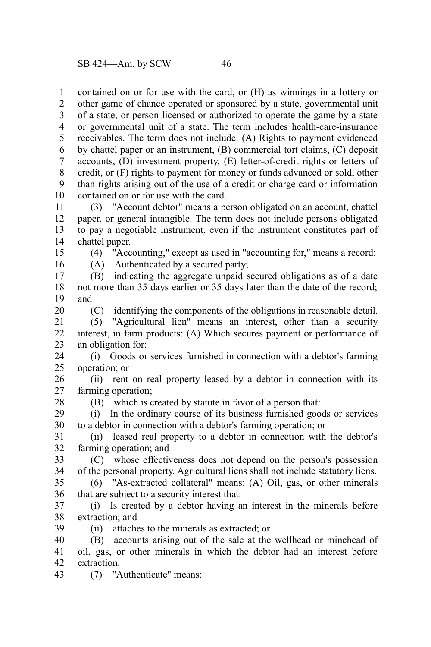contained on or for use with the card, or (H) as winnings in a lottery or other game of chance operated or sponsored by a state, governmental unit of a state, or person licensed or authorized to operate the game by a state or governmental unit of a state. The term includes health-care-insurance receivables. The term does not include: (A) Rights to payment evidenced by chattel paper or an instrument, (B) commercial tort claims, (C) deposit accounts, (D) investment property, (E) letter-of-credit rights or letters of credit, or (F) rights to payment for money or funds advanced or sold, other than rights arising out of the use of a credit or charge card or information contained on or for use with the card. 1 2 3 4 5 6 7 8 9 10

(3) "Account debtor" means a person obligated on an account, chattel paper, or general intangible. The term does not include persons obligated to pay a negotiable instrument, even if the instrument constitutes part of chattel paper. 11 12 13 14

15

(4) "Accounting," except as used in "accounting for," means a record:

16

20

(A) Authenticated by a secured party;

(B) indicating the aggregate unpaid secured obligations as of a date not more than 35 days earlier or 35 days later than the date of the record; and 17 18 19

(C) identifying the components of the obligations in reasonable detail.

(5) "Agricultural lien" means an interest, other than a security interest, in farm products: (A) Which secures payment or performance of an obligation for: 21 22 23

(i) Goods or services furnished in connection with a debtor's farming operation; or 24 25

(ii) rent on real property leased by a debtor in connection with its farming operation; 26 27

28

39

(B) which is created by statute in favor of a person that:

(i) In the ordinary course of its business furnished goods or services to a debtor in connection with a debtor's farming operation; or 29 30

(ii) leased real property to a debtor in connection with the debtor's farming operation; and 31 32

(C) whose effectiveness does not depend on the person's possession of the personal property. Agricultural liens shall not include statutory liens. 33 34

(6) "As-extracted collateral" means: (A) Oil, gas, or other minerals that are subject to a security interest that: 35 36

(i) Is created by a debtor having an interest in the minerals before extraction; and 37 38

(ii) attaches to the minerals as extracted; or

(B) accounts arising out of the sale at the wellhead or minehead of oil, gas, or other minerals in which the debtor had an interest before extraction. 40 41 42

(7) "Authenticate" means: 43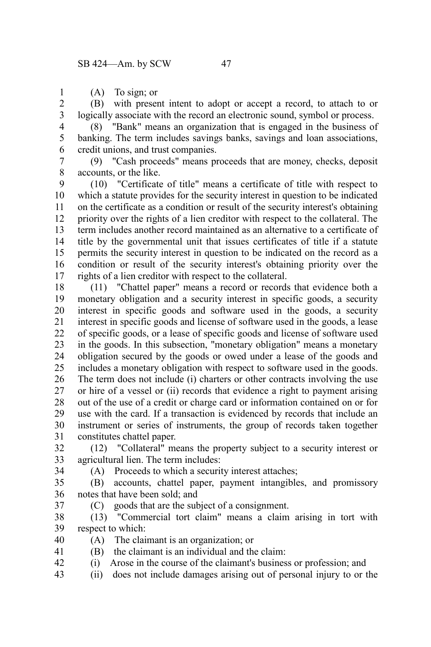(A) To sign; or

1

(B) with present intent to adopt or accept a record, to attach to or logically associate with the record an electronic sound, symbol or process. 2 3

(8) "Bank" means an organization that is engaged in the business of banking. The term includes savings banks, savings and loan associations, credit unions, and trust companies. 4 5 6

(9) "Cash proceeds" means proceeds that are money, checks, deposit accounts, or the like. 7 8

(10) "Certificate of title" means a certificate of title with respect to which a statute provides for the security interest in question to be indicated on the certificate as a condition or result of the security interest's obtaining priority over the rights of a lien creditor with respect to the collateral. The term includes another record maintained as an alternative to a certificate of title by the governmental unit that issues certificates of title if a statute permits the security interest in question to be indicated on the record as a condition or result of the security interest's obtaining priority over the rights of a lien creditor with respect to the collateral. 9 10 11 12 13 14 15 16 17

(11) "Chattel paper" means a record or records that evidence both a monetary obligation and a security interest in specific goods, a security interest in specific goods and software used in the goods, a security interest in specific goods and license of software used in the goods, a lease of specific goods, or a lease of specific goods and license of software used in the goods. In this subsection, "monetary obligation" means a monetary obligation secured by the goods or owed under a lease of the goods and includes a monetary obligation with respect to software used in the goods. The term does not include (i) charters or other contracts involving the use or hire of a vessel or (ii) records that evidence a right to payment arising out of the use of a credit or charge card or information contained on or for use with the card. If a transaction is evidenced by records that include an instrument or series of instruments, the group of records taken together constitutes chattel paper. 18 19 20 21 22 23 24 25 26 27 28 29 30 31

(12) "Collateral" means the property subject to a security interest or agricultural lien. The term includes: 32 33

34

42

(A) Proceeds to which a security interest attaches;

(B) accounts, chattel paper, payment intangibles, and promissory notes that have been sold; and 35 36 37

(C) goods that are the subject of a consignment.

(13) "Commercial tort claim" means a claim arising in tort with respect to which: 38 39

(A) The claimant is an organization; or 40

(B) the claimant is an individual and the claim: 41

(i) Arose in the course of the claimant's business or profession; and

(ii) does not include damages arising out of personal injury to or the 43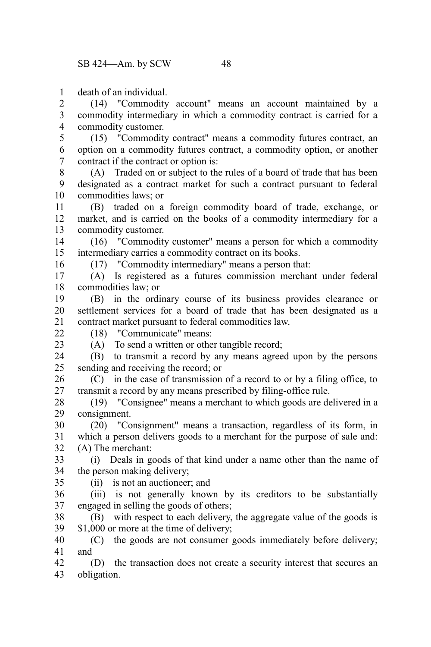death of an individual. 1

(14) "Commodity account" means an account maintained by a commodity intermediary in which a commodity contract is carried for a commodity customer. 2 3 4

(15) "Commodity contract" means a commodity futures contract, an option on a commodity futures contract, a commodity option, or another contract if the contract or option is: 5 6 7

(A) Traded on or subject to the rules of a board of trade that has been designated as a contract market for such a contract pursuant to federal commodities laws; or 8 9 10

(B) traded on a foreign commodity board of trade, exchange, or market, and is carried on the books of a commodity intermediary for a commodity customer. 11 12 13

(16) "Commodity customer" means a person for which a commodity intermediary carries a commodity contract on its books. 14 15

16

(17) "Commodity intermediary" means a person that:

(A) Is registered as a futures commission merchant under federal commodities law; or 17 18

(B) in the ordinary course of its business provides clearance or settlement services for a board of trade that has been designated as a contract market pursuant to federal commodities law. 19 20 21

 $22$ 

23

(A) To send a written or other tangible record;

(18) "Communicate" means:

(B) to transmit a record by any means agreed upon by the persons sending and receiving the record; or 24 25

(C) in the case of transmission of a record to or by a filing office, to transmit a record by any means prescribed by filing-office rule. 26 27

(19) "Consignee" means a merchant to which goods are delivered in a consignment. 28 29

(20) "Consignment" means a transaction, regardless of its form, in which a person delivers goods to a merchant for the purpose of sale and: (A) The merchant: 30 31 32

(i) Deals in goods of that kind under a name other than the name of the person making delivery; 33 34

35

(ii) is not an auctioneer; and

(iii) is not generally known by its creditors to be substantially engaged in selling the goods of others; 36 37

(B) with respect to each delivery, the aggregate value of the goods is \$1,000 or more at the time of delivery; 38 39

(C) the goods are not consumer goods immediately before delivery; and 40 41

(D) the transaction does not create a security interest that secures an obligation. 42 43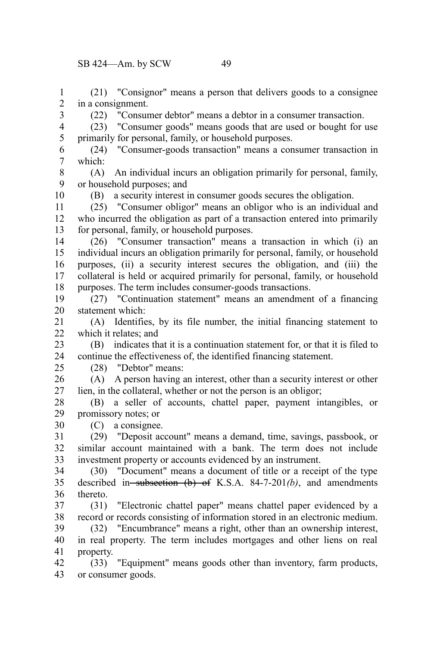(21) "Consignor" means a person that delivers goods to a consignee in a consignment. 1 2

3

(22) "Consumer debtor" means a debtor in a consumer transaction.

4

10

25

(23) "Consumer goods" means goods that are used or bought for use

primarily for personal, family, or household purposes. 5

(24) "Consumer-goods transaction" means a consumer transaction in which: 6 7

(A) An individual incurs an obligation primarily for personal, family, or household purposes; and 8 9

(B) a security interest in consumer goods secures the obligation.

(25) "Consumer obligor" means an obligor who is an individual and who incurred the obligation as part of a transaction entered into primarily for personal, family, or household purposes. 11 12 13

(26) "Consumer transaction" means a transaction in which (i) an individual incurs an obligation primarily for personal, family, or household purposes, (ii) a security interest secures the obligation, and (iii) the collateral is held or acquired primarily for personal, family, or household purposes. The term includes consumer-goods transactions. 14 15 16 17 18

(27) "Continuation statement" means an amendment of a financing statement which: 19 20

(A) Identifies, by its file number, the initial financing statement to which it relates; and 21 22

(B) indicates that it is a continuation statement for, or that it is filed to continue the effectiveness of, the identified financing statement. 23 24

(28) "Debtor" means:

(A) A person having an interest, other than a security interest or other lien, in the collateral, whether or not the person is an obligor; 26 27

(B) a seller of accounts, chattel paper, payment intangibles, or promissory notes; or 28 29

(C) a consignee. 30

(29) "Deposit account" means a demand, time, savings, passbook, or similar account maintained with a bank. The term does not include investment property or accounts evidenced by an instrument. 31 32 33

(30) "Document" means a document of title or a receipt of the type described in subsection (b) of K.S.A. 84-7-201(b), and amendments thereto. 34 35 36

(31) "Electronic chattel paper" means chattel paper evidenced by a record or records consisting of information stored in an electronic medium. 37 38

(32) "Encumbrance" means a right, other than an ownership interest, in real property. The term includes mortgages and other liens on real property. 39 40 41

(33) "Equipment" means goods other than inventory, farm products, or consumer goods. 42 43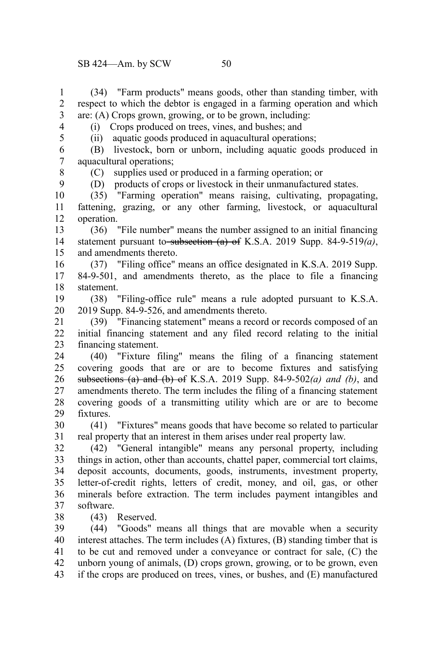(34) "Farm products" means goods, other than standing timber, with respect to which the debtor is engaged in a farming operation and which are: (A) Crops grown, growing, or to be grown, including: 1 2 3

4 5 (i) Crops produced on trees, vines, and bushes; and

(ii) aquatic goods produced in aquacultural operations;

(B) livestock, born or unborn, including aquatic goods produced in aquacultural operations; 6 7

8 9 (C) supplies used or produced in a farming operation; or

(D) products of crops or livestock in their unmanufactured states.

(35) "Farming operation" means raising, cultivating, propagating, fattening, grazing, or any other farming, livestock, or aquacultural operation. 10 11 12

(36) "File number" means the number assigned to an initial financing statement pursuant to subsection  $(a)$  of K.S.A. 2019 Supp. 84-9-519 $(a)$ , and amendments thereto. 13 14 15

(37) "Filing office" means an office designated in K.S.A. 2019 Supp. 84-9-501, and amendments thereto, as the place to file a financing statement. 16 17 18

(38) "Filing-office rule" means a rule adopted pursuant to K.S.A. 2019 Supp. 84-9-526, and amendments thereto. 19 20

(39) "Financing statement" means a record or records composed of an initial financing statement and any filed record relating to the initial financing statement. 21 22 23

(40) "Fixture filing" means the filing of a financing statement covering goods that are or are to become fixtures and satisfying subsections (a) and (b) of K.S.A. 2019 Supp. 84-9-502*(a) and (b)*, and amendments thereto. The term includes the filing of a financing statement covering goods of a transmitting utility which are or are to become fixtures. 24 25 26 27 28 29

(41) "Fixtures" means goods that have become so related to particular real property that an interest in them arises under real property law. 30 31

(42) "General intangible" means any personal property, including things in action, other than accounts, chattel paper, commercial tort claims, deposit accounts, documents, goods, instruments, investment property, letter-of-credit rights, letters of credit, money, and oil, gas, or other minerals before extraction. The term includes payment intangibles and software. 32 33 34 35 36 37

(43) Reserved. 38

(44) "Goods" means all things that are movable when a security interest attaches. The term includes  $(A)$  fixtures,  $(B)$  standing timber that is to be cut and removed under a conveyance or contract for sale, (C) the unborn young of animals, (D) crops grown, growing, or to be grown, even if the crops are produced on trees, vines, or bushes, and (E) manufactured 39 40 41 42 43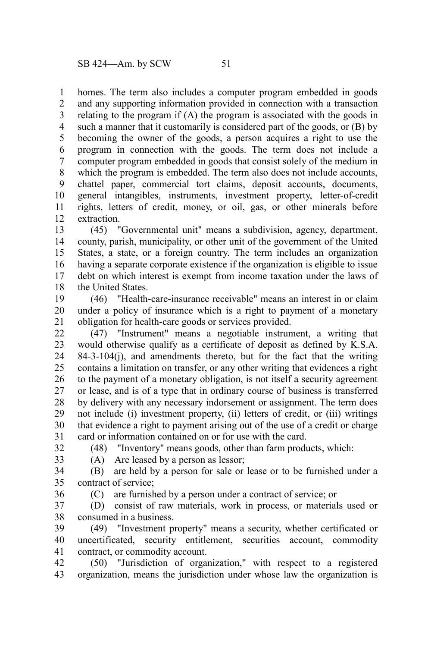homes. The term also includes a computer program embedded in goods and any supporting information provided in connection with a transaction relating to the program if (A) the program is associated with the goods in such a manner that it customarily is considered part of the goods, or (B) by becoming the owner of the goods, a person acquires a right to use the program in connection with the goods. The term does not include a computer program embedded in goods that consist solely of the medium in which the program is embedded. The term also does not include accounts, chattel paper, commercial tort claims, deposit accounts, documents, general intangibles, instruments, investment property, letter-of-credit rights, letters of credit, money, or oil, gas, or other minerals before extraction. 1 2 3 4 5 6 7 8 9 10 11 12

(45) "Governmental unit" means a subdivision, agency, department, county, parish, municipality, or other unit of the government of the United States, a state, or a foreign country. The term includes an organization having a separate corporate existence if the organization is eligible to issue debt on which interest is exempt from income taxation under the laws of the United States. 13 14 15 16 17 18

(46) "Health-care-insurance receivable" means an interest in or claim under a policy of insurance which is a right to payment of a monetary obligation for health-care goods or services provided. 19 20 21

(47) "Instrument" means a negotiable instrument, a writing that would otherwise qualify as a certificate of deposit as defined by K.S.A. 84-3-104(j), and amendments thereto, but for the fact that the writing contains a limitation on transfer, or any other writing that evidences a right to the payment of a monetary obligation, is not itself a security agreement or lease, and is of a type that in ordinary course of business is transferred by delivery with any necessary indorsement or assignment. The term does not include (i) investment property, (ii) letters of credit, or (iii) writings that evidence a right to payment arising out of the use of a credit or charge card or information contained on or for use with the card. 22 23 24 25 26 27 28 29 30 31

32 33

36

(48) "Inventory" means goods, other than farm products, which:

(A) Are leased by a person as lessor;

(B) are held by a person for sale or lease or to be furnished under a contract of service; 34 35

(C) are furnished by a person under a contract of service; or

(D) consist of raw materials, work in process, or materials used or consumed in a business. 37 38

(49) "Investment property" means a security, whether certificated or uncertificated, security entitlement, securities account, commodity contract, or commodity account. 39 40 41

(50) "Jurisdiction of organization," with respect to a registered organization, means the jurisdiction under whose law the organization is 42 43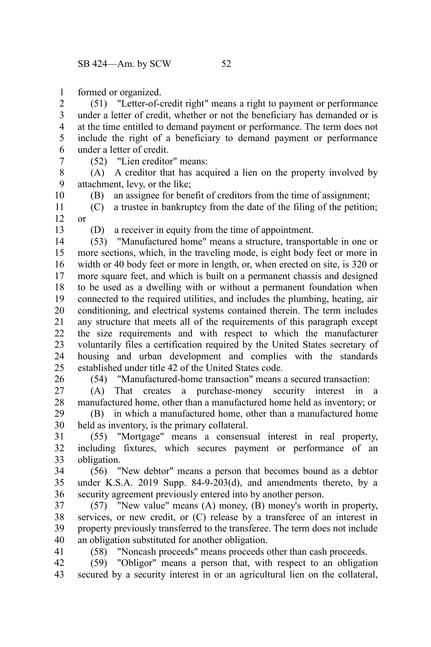formed or organized. 1

(51) "Letter-of-credit right" means a right to payment or performance under a letter of credit, whether or not the beneficiary has demanded or is at the time entitled to demand payment or performance. The term does not include the right of a beneficiary to demand payment or performance under a letter of credit. 2 3 4 5 6

7

(52) "Lien creditor" means:

(A) A creditor that has acquired a lien on the property involved by attachment, levy, or the like; 8 9

(B) an assignee for benefit of creditors from the time of assignment;

(C) a trustee in bankruptcy from the date of the filing of the petition; or 11 12

13

10

(D) a receiver in equity from the time of appointment.

(53) "Manufactured home" means a structure, transportable in one or more sections, which, in the traveling mode, is eight body feet or more in width or 40 body feet or more in length, or, when erected on site, is 320 or more square feet, and which is built on a permanent chassis and designed to be used as a dwelling with or without a permanent foundation when connected to the required utilities, and includes the plumbing, heating, air conditioning, and electrical systems contained therein. The term includes any structure that meets all of the requirements of this paragraph except the size requirements and with respect to which the manufacturer voluntarily files a certification required by the United States secretary of housing and urban development and complies with the standards established under title 42 of the United States code. 14 15 16 17 18 19 20 21 22 23 24 25

26

(54) "Manufactured-home transaction" means a secured transaction:

(A) That creates a purchase-money security interest in a manufactured home, other than a manufactured home held as inventory; or (B) in which a manufactured home, other than a manufactured home held as inventory, is the primary collateral. 27 28 29 30

(55) "Mortgage" means a consensual interest in real property, including fixtures, which secures payment or performance of an obligation. 31 32 33

(56) "New debtor" means a person that becomes bound as a debtor under K.S.A. 2019 Supp. 84-9-203(d), and amendments thereto, by a security agreement previously entered into by another person. 34 35 36

(57) "New value" means (A) money, (B) money's worth in property, services, or new credit, or (C) release by a transferee of an interest in property previously transferred to the transferee. The term does not include an obligation substituted for another obligation. 37 38 39 40

(58) "Noncash proceeds" means proceeds other than cash proceeds. 41

(59) "Obligor" means a person that, with respect to an obligation secured by a security interest in or an agricultural lien on the collateral, 42 43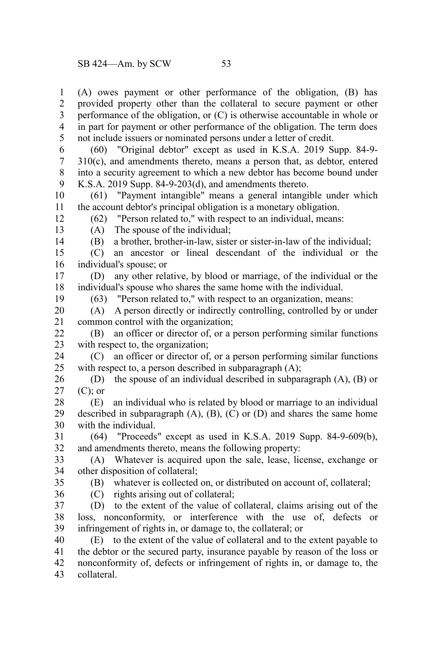(A) owes payment or other performance of the obligation, (B) has provided property other than the collateral to secure payment or other performance of the obligation, or (C) is otherwise accountable in whole or in part for payment or other performance of the obligation. The term does not include issuers or nominated persons under a letter of credit. 1 2 3 4 5

(60) "Original debtor" except as used in K.S.A. 2019 Supp. 84-9- 310(c), and amendments thereto, means a person that, as debtor, entered into a security agreement to which a new debtor has become bound under K.S.A. 2019 Supp. 84-9-203(d), and amendments thereto. 6 7 8 9

(61) "Payment intangible" means a general intangible under which the account debtor's principal obligation is a monetary obligation. 10 11

(62) "Person related to," with respect to an individual, means:

12 13

(A) The spouse of the individual;

14

(B) a brother, brother-in-law, sister or sister-in-law of the individual;

(C) an ancestor or lineal descendant of the individual or the individual's spouse; or 15 16

(D) any other relative, by blood or marriage, of the individual or the individual's spouse who shares the same home with the individual. 17 18

19

(63) "Person related to," with respect to an organization, means:

(A) A person directly or indirectly controlling, controlled by or under common control with the organization; 20 21

(B) an officer or director of, or a person performing similar functions with respect to, the organization: 22 23

(C) an officer or director of, or a person performing similar functions with respect to, a person described in subparagraph  $(A)$ ; 24 25

(D) the spouse of an individual described in subparagraph (A), (B) or  $(C)$ ; or 26 27

(E) an individual who is related by blood or marriage to an individual described in subparagraph  $(A)$ ,  $(B)$ ,  $(C)$  or  $(D)$  and shares the same home with the individual. 28 29 30

(64) "Proceeds" except as used in K.S.A. 2019 Supp. 84-9-609(b), and amendments thereto, means the following property: 31 32

(A) Whatever is acquired upon the sale, lease, license, exchange or other disposition of collateral; 33 34

35 36 (B) whatever is collected on, or distributed on account of, collateral; (C) rights arising out of collateral;

(D) to the extent of the value of collateral, claims arising out of the loss, nonconformity, or interference with the use of, defects or infringement of rights in, or damage to, the collateral; or 37 38 39

(E) to the extent of the value of collateral and to the extent payable to the debtor or the secured party, insurance payable by reason of the loss or nonconformity of, defects or infringement of rights in, or damage to, the collateral. 40 41 42 43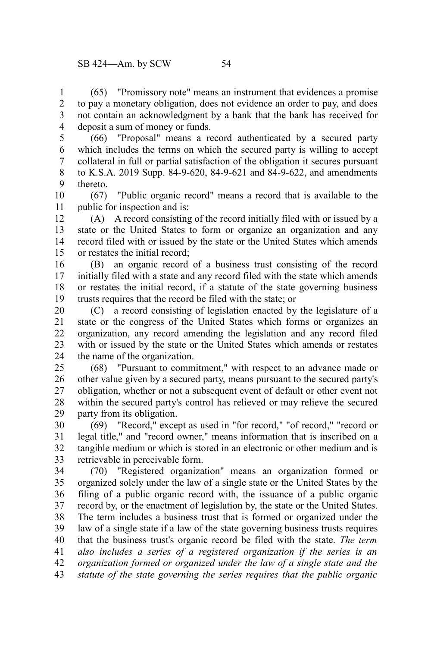(65) "Promissory note" means an instrument that evidences a promise to pay a monetary obligation, does not evidence an order to pay, and does not contain an acknowledgment by a bank that the bank has received for deposit a sum of money or funds. 1 2 3 4

(66) "Proposal" means a record authenticated by a secured party which includes the terms on which the secured party is willing to accept collateral in full or partial satisfaction of the obligation it secures pursuant to K.S.A. 2019 Supp. 84-9-620, 84-9-621 and 84-9-622, and amendments thereto. 5 6 7 8 9

(67) "Public organic record" means a record that is available to the public for inspection and is: 10 11

(A) A record consisting of the record initially filed with or issued by a state or the United States to form or organize an organization and any record filed with or issued by the state or the United States which amends or restates the initial record; 12 13 14 15

(B) an organic record of a business trust consisting of the record initially filed with a state and any record filed with the state which amends or restates the initial record, if a statute of the state governing business trusts requires that the record be filed with the state; or 16 17 18 19

(C) a record consisting of legislation enacted by the legislature of a state or the congress of the United States which forms or organizes an organization, any record amending the legislation and any record filed with or issued by the state or the United States which amends or restates the name of the organization. 20 21 22 23 24

(68) "Pursuant to commitment," with respect to an advance made or other value given by a secured party, means pursuant to the secured party's obligation, whether or not a subsequent event of default or other event not within the secured party's control has relieved or may relieve the secured party from its obligation. 25 26 27 28 29

(69) "Record," except as used in "for record," "of record," "record or legal title," and "record owner," means information that is inscribed on a tangible medium or which is stored in an electronic or other medium and is retrievable in perceivable form. 30 31 32 33

(70) "Registered organization" means an organization formed or organized solely under the law of a single state or the United States by the filing of a public organic record with, the issuance of a public organic record by, or the enactment of legislation by, the state or the United States. The term includes a business trust that is formed or organized under the law of a single state if a law of the state governing business trusts requires that the business trust's organic record be filed with the state. *The term also includes a series of a registered organization if the series is an organization formed or organized under the law of a single state and the statute of the state governing the series requires that the public organic* 34 35 36 37 38 39 40 41 42 43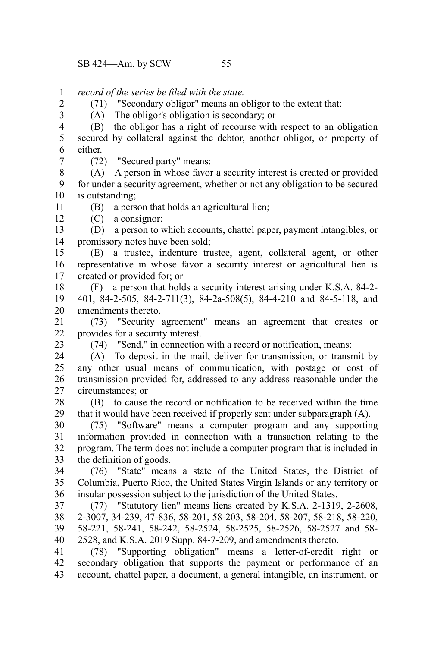*record of the series be filed with the state.* 1

(71) "Secondary obligor" means an obligor to the extent that:

(A) The obligor's obligation is secondary; or

(B) the obligor has a right of recourse with respect to an obligation secured by collateral against the debtor, another obligor, or property of either. 4 5 6 7

(72) "Secured party" means:

(A) A person in whose favor a security interest is created or provided for under a security agreement, whether or not any obligation to be secured is outstanding; 8 9 10

(B) a person that holds an agricultural lien;

(C) a consignor;

(D) a person to which accounts, chattel paper, payment intangibles, or promissory notes have been sold; 13 14

(E) a trustee, indenture trustee, agent, collateral agent, or other representative in whose favor a security interest or agricultural lien is created or provided for; or 15 16 17

(F) a person that holds a security interest arising under K.S.A. 84-2- 401, 84-2-505, 84-2-711(3), 84-2a-508(5), 84-4-210 and 84-5-118, and amendments thereto. 18 19 20

(73) "Security agreement" means an agreement that creates or provides for a security interest. 21 22

23

2 3

11 12

(74) "Send," in connection with a record or notification, means:

(A) To deposit in the mail, deliver for transmission, or transmit by any other usual means of communication, with postage or cost of transmission provided for, addressed to any address reasonable under the circumstances; or 24 25 26 27

(B) to cause the record or notification to be received within the time that it would have been received if properly sent under subparagraph (A). 28 29

(75) "Software" means a computer program and any supporting information provided in connection with a transaction relating to the program. The term does not include a computer program that is included in the definition of goods. 30 31 32 33

(76) "State" means a state of the United States, the District of Columbia, Puerto Rico, the United States Virgin Islands or any territory or insular possession subject to the jurisdiction of the United States. 34 35 36

(77) "Statutory lien" means liens created by K.S.A. 2-1319, 2-2608, 2-3007, 34-239, 47-836, 58-201, 58-203, 58-204, 58-207, 58-218, 58-220, 58-221, 58-241, 58-242, 58-2524, 58-2525, 58-2526, 58-2527 and 58- 2528, and K.S.A. 2019 Supp. 84-7-209, and amendments thereto. 37 38 39 40

(78) "Supporting obligation" means a letter-of-credit right or secondary obligation that supports the payment or performance of an account, chattel paper, a document, a general intangible, an instrument, or 41 42 43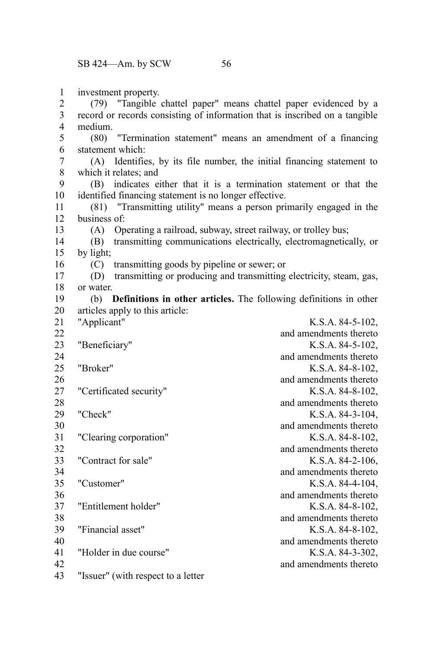investment property. (79) "Tangible chattel paper" means chattel paper evidenced by a record or records consisting of information that is inscribed on a tangible medium. (80) "Termination statement" means an amendment of a financing statement which: (A) Identifies, by its file number, the initial financing statement to which it relates; and (B) indicates either that it is a termination statement or that the identified financing statement is no longer effective. (81) "Transmitting utility" means a person primarily engaged in the business of: (A) Operating a railroad, subway, street railway, or trolley bus; (B) transmitting communications electrically, electromagnetically, or by light; (C) transmitting goods by pipeline or sewer; or (D) transmitting or producing and transmitting electricity, steam, gas, or water. (b) **Definitions in other articles.** The following definitions in other articles apply to this article: "Applicant" K.S.A. 84-5-102, and amendments thereto "Beneficiary" K.S.A. 84-5-102, and amendments thereto "Broker" K.S.A. 84-8-102, and amendments thereto "Certificated security" K.S.A. 84-8-102, and amendments thereto "Check" K.S.A. 84-3-104, and amendments thereto "Clearing corporation" K.S.A. 84-8-102, and amendments thereto "Contract for sale" K.S.A. 84-2-106, and amendments thereto "Customer" K.S.A. 84-4-104, and amendments thereto "Entitlement holder" K.S.A. 84-8-102, and amendments thereto "Financial asset" K.S.A. 84-8-102, and amendments thereto "Holder in due course" K.S.A. 84-3-302, and amendments thereto 1 2 3 4 5 6 7 8 9 10 11 12 13 14 15 16 17 18 19 20 21 22 23 24 25 26 27 28 29 30 31 32 33 34 35 36 37 38 39 40 41 42

"Issuer" (with respect to a letter 43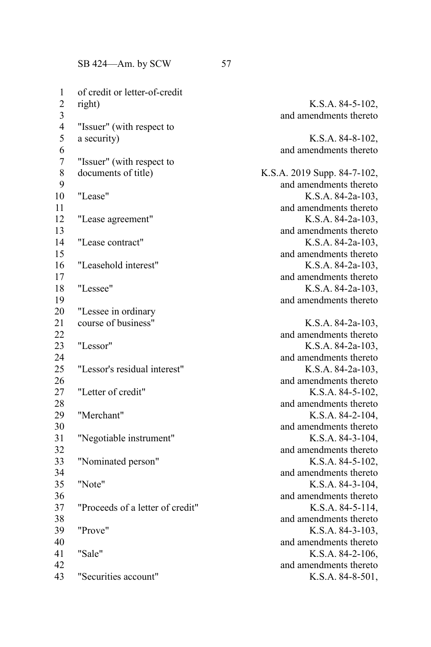SB 424—Am. by SCW 57

| $\mathbf{1}$            | of credit or letter-of-credit    |                             |
|-------------------------|----------------------------------|-----------------------------|
| $\overline{c}$          | right)                           | K.S.A. 84-5-102,            |
| $\overline{\mathbf{3}}$ |                                  | and amendments thereto      |
| $\overline{4}$          | "Issuer" (with respect to        |                             |
| 5                       | a security)                      | K.S.A. 84-8-102,            |
| 6                       |                                  | and amendments thereto      |
| $\overline{7}$          | "Issuer" (with respect to        |                             |
| 8                       | documents of title)              | K.S.A. 2019 Supp. 84-7-102, |
| 9                       |                                  | and amendments thereto      |
| 10                      | "Lease"                          | K.S.A. 84-2a-103,           |
| 11                      |                                  | and amendments thereto      |
| 12                      | "Lease agreement"                | K.S.A. 84-2a-103,           |
| 13                      |                                  | and amendments thereto      |
| 14                      | "Lease contract"                 | K.S.A. 84-2a-103,           |
| 15                      |                                  | and amendments thereto      |
| 16                      | "Leasehold interest"             | K.S.A. 84-2a-103,           |
| 17                      |                                  | and amendments thereto      |
| 18                      | "Lessee"                         | K.S.A. 84-2a-103,           |
| 19                      |                                  | and amendments thereto      |
| $20\,$                  | "Lessee in ordinary              |                             |
| 21                      | course of business"              | K.S.A. 84-2a-103,           |
| 22                      |                                  | and amendments thereto      |
| 23                      | "Lessor"                         | K.S.A. 84-2a-103,           |
| 24                      |                                  | and amendments thereto      |
| 25                      | "Lessor's residual interest"     | K.S.A. 84-2a-103,           |
| 26                      |                                  | and amendments thereto      |
| 27                      | "Letter of credit"               | K.S.A. 84-5-102,            |
| 28                      |                                  | and amendments thereto      |
| 29                      | "Merchant"                       | K.S.A. 84-2-104,            |
| 30                      |                                  | and amendments thereto      |
| 31                      | "Negotiable instrument"          | K.S.A. 84-3-104,            |
| 32                      |                                  | and amendments thereto      |
| 33                      | "Nominated person"               | K.S.A. 84-5-102,            |
| 34                      |                                  | and amendments thereto      |
| 35                      | "Note"                           | K.S.A. 84-3-104,            |
| 36                      |                                  | and amendments thereto      |
| 37                      | "Proceeds of a letter of credit" | K.S.A. 84-5-114,            |
| 38                      |                                  | and amendments thereto      |
| 39                      | "Prove"                          | K.S.A. 84-3-103,            |
| 40                      |                                  | and amendments thereto      |
| 41                      | "Sale"                           | K.S.A. 84-2-106,            |
| 42                      |                                  | and amendments thereto      |
| 43                      | "Securities account"             | K.S.A. 84-8-501,            |